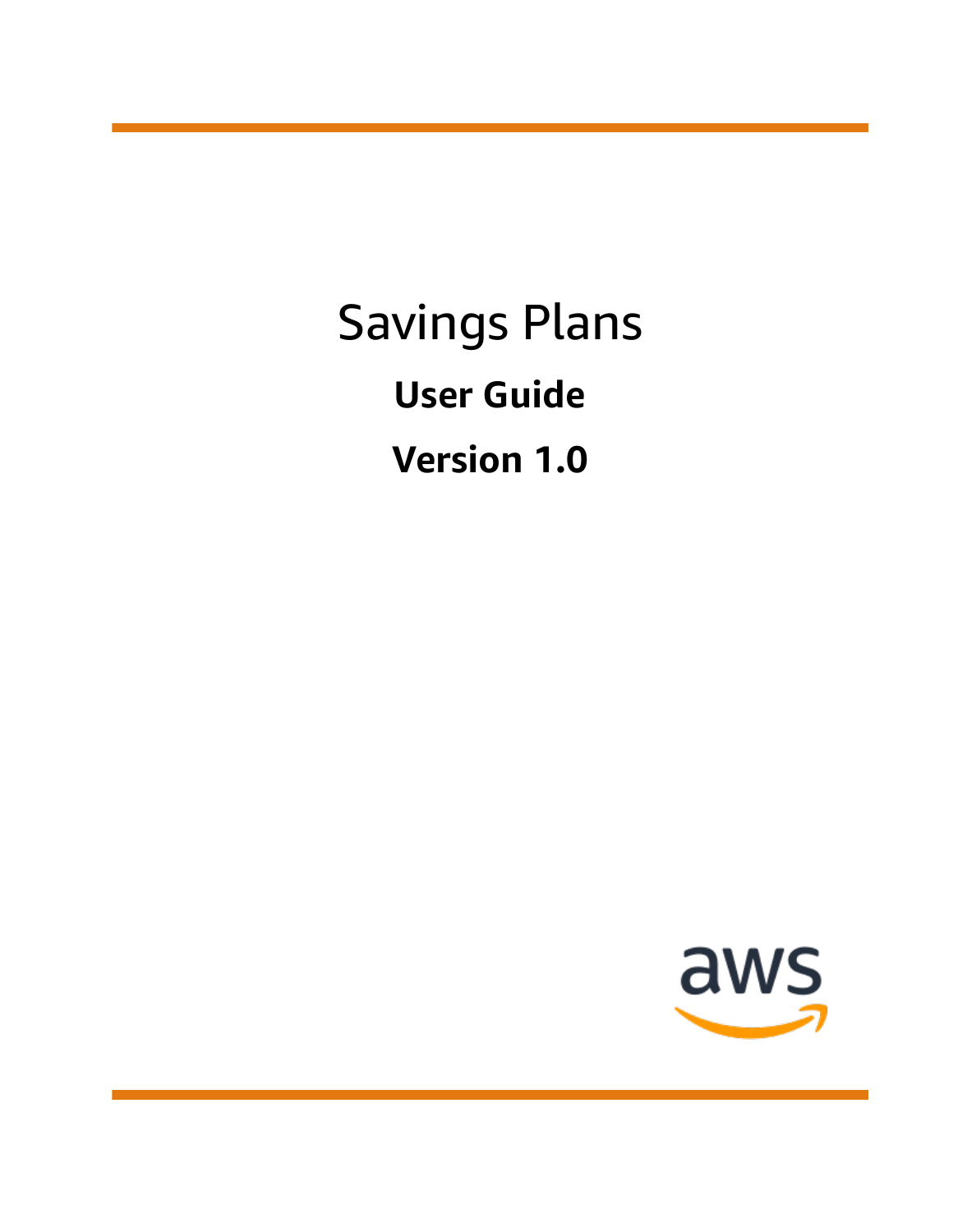Savings Plans **User Guide Version 1.0**

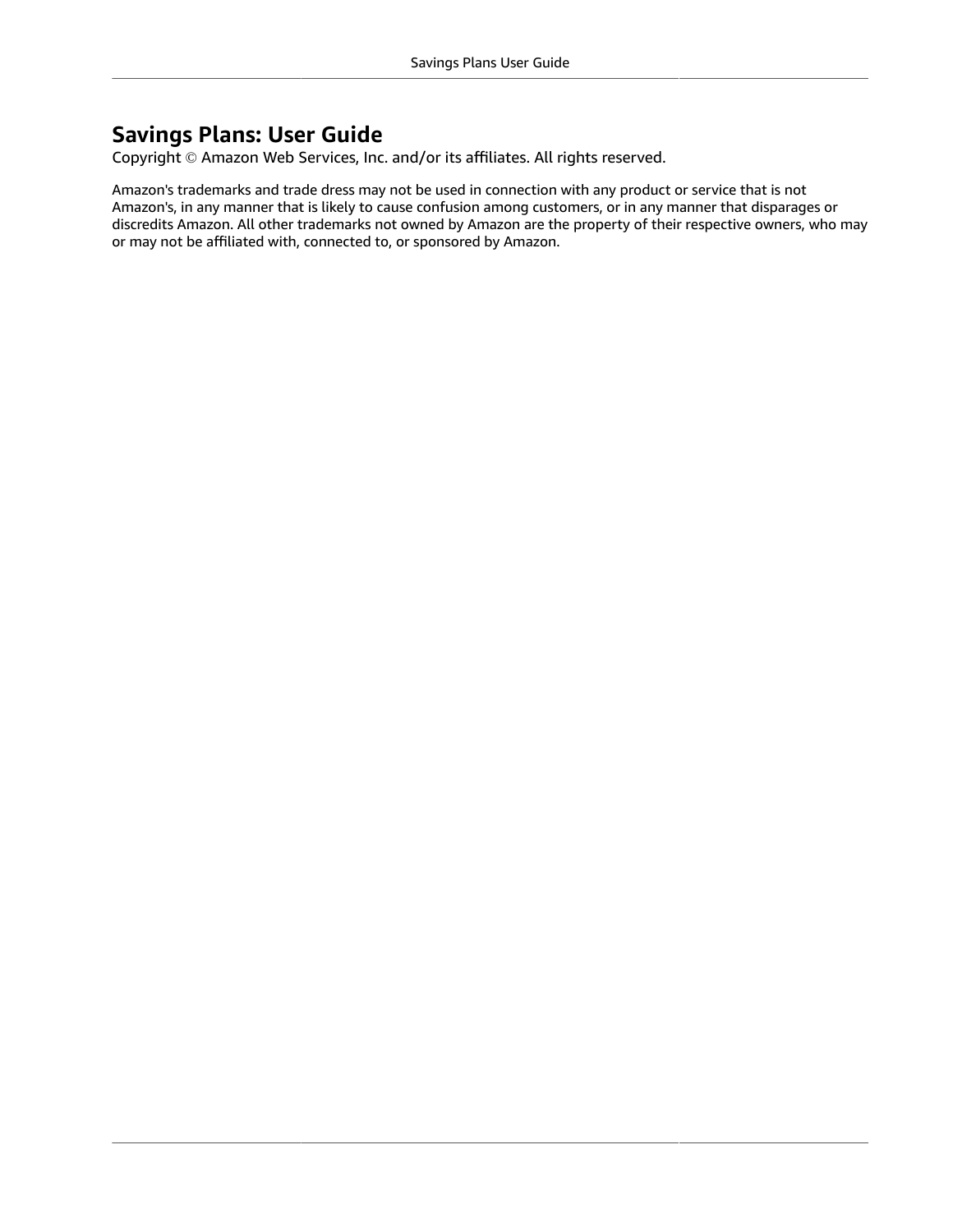### **Savings Plans: User Guide**

Copyright © Amazon Web Services, Inc. and/or its affiliates. All rights reserved.

Amazon's trademarks and trade dress may not be used in connection with any product or service that is not Amazon's, in any manner that is likely to cause confusion among customers, or in any manner that disparages or discredits Amazon. All other trademarks not owned by Amazon are the property of their respective owners, who may or may not be affiliated with, connected to, or sponsored by Amazon.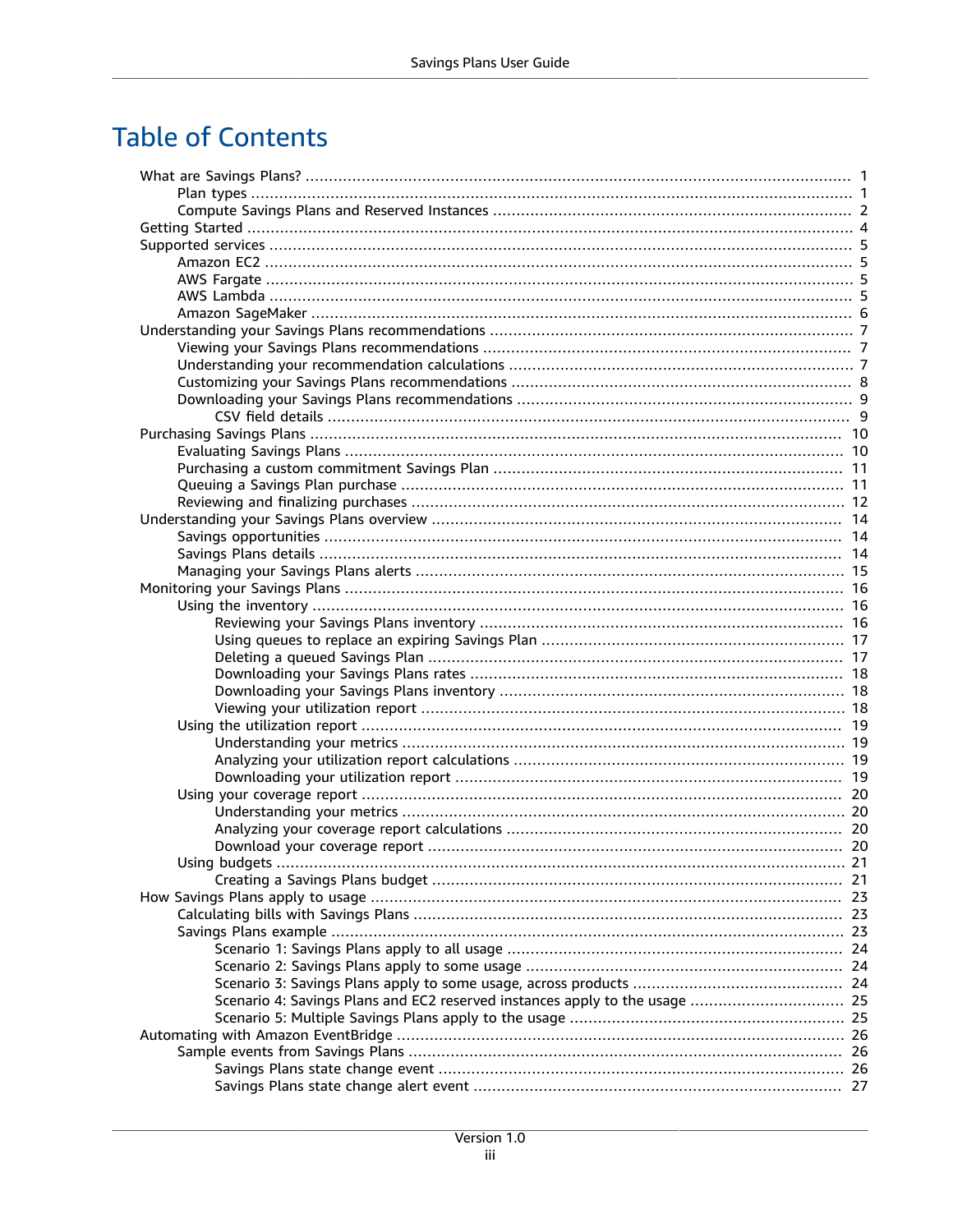### **Table of Contents**

| Scenario 4: Savings Plans and EC2 reserved instances apply to the usage  25 |  |
|-----------------------------------------------------------------------------|--|
|                                                                             |  |
|                                                                             |  |
|                                                                             |  |
|                                                                             |  |
|                                                                             |  |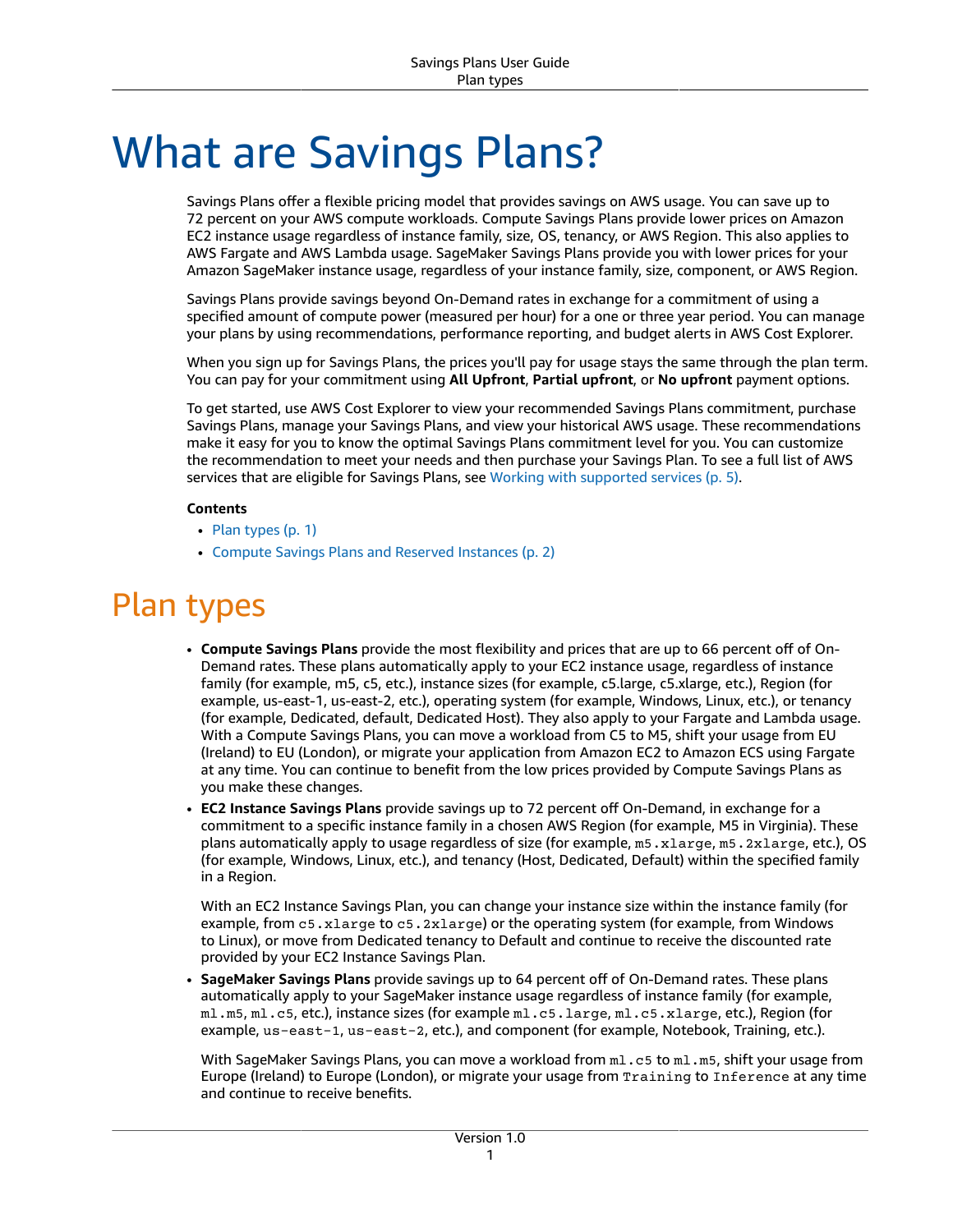# <span id="page-4-0"></span>What are Savings Plans?

Savings Plans offer a flexible pricing model that provides savings on AWS usage. You can save up to 72 percent on your AWS compute workloads. Compute Savings Plans provide lower prices on Amazon EC2 instance usage regardless of instance family, size, OS, tenancy, or AWS Region. This also applies to AWS Fargate and AWS Lambda usage. SageMaker Savings Plans provide you with lower prices for your Amazon SageMaker instance usage, regardless of your instance family, size, component, or AWS Region.

Savings Plans provide savings beyond On-Demand rates in exchange for a commitment of using a specified amount of compute power (measured per hour) for a one or three year period. You can manage your plans by using recommendations, performance reporting, and budget alerts in AWS Cost Explorer.

When you sign up for Savings Plans, the prices you'll pay for usage stays the same through the plan term. You can pay for your commitment using **All Upfront**, **Partial upfront**, or **No upfront** payment options.

To get started, use AWS Cost Explorer to view your recommended Savings Plans commitment, purchase Savings Plans, manage your Savings Plans, and view your historical AWS usage. These recommendations make it easy for you to know the optimal Savings Plans commitment level for you. You can customize the recommendation to meet your needs and then purchase your Savings Plan. To see a full list of AWS services that are eligible for Savings Plans, see Working with [supported](#page-8-0) service[s \(p. 5\).](#page-8-0)

#### **Contents**

- Plan [types \(p. 1\)](#page-4-1)
- Compute Savings Plans and Reserved [Instances \(p. 2\)](#page-5-0)

## <span id="page-4-1"></span>Plan types

- **Compute Savings Plans** provide the most flexibility and prices that are up to 66 percent off of On-Demand rates. These plans automatically apply to your EC2 instance usage, regardless of instance family (for example, m5, c5, etc.), instance sizes (for example, c5.large, c5.xlarge, etc.), Region (for example, us-east-1, us-east-2, etc.), operating system (for example, Windows, Linux, etc.), or tenancy (for example, Dedicated, default, Dedicated Host). They also apply to your Fargate and Lambda usage. With a Compute Savings Plans, you can move a workload from C5 to M5, shift your usage from EU (Ireland) to EU (London), or migrate your application from Amazon EC2 to Amazon ECS using Fargate at any time. You can continue to benefit from the low prices provided by Compute Savings Plans as you make these changes.
- **EC2 Instance Savings Plans** provide savings up to 72 percent off On-Demand, in exchange for a commitment to a specific instance family in a chosen AWS Region (for example, M5 in Virginia). These plans automatically apply to usage regardless of size (for example, m5.xlarge, m5.2xlarge, etc.), OS (for example, Windows, Linux, etc.), and tenancy (Host, Dedicated, Default) within the specified family in a Region.

With an EC2 Instance Savings Plan, you can change your instance size within the instance family (for example, from c5.xlarge to c5.2xlarge) or the operating system (for example, from Windows to Linux), or move from Dedicated tenancy to Default and continue to receive the discounted rate provided by your EC2 Instance Savings Plan.

• **SageMaker Savings Plans** provide savings up to 64 percent off of On-Demand rates. These plans automatically apply to your SageMaker instance usage regardless of instance family (for example, ml.m5, ml.c5, etc.), instance sizes (for example ml.c5.large, ml.c5.xlarge, etc.), Region (for example, us-east-1, us-east-2, etc.), and component (for example, Notebook, Training, etc.).

With SageMaker Savings Plans, you can move a workload from  $m1.c5$  to  $m1.m5$ , shift your usage from Europe (Ireland) to Europe (London), or migrate your usage from Training to Inference at any time and continue to receive benefits.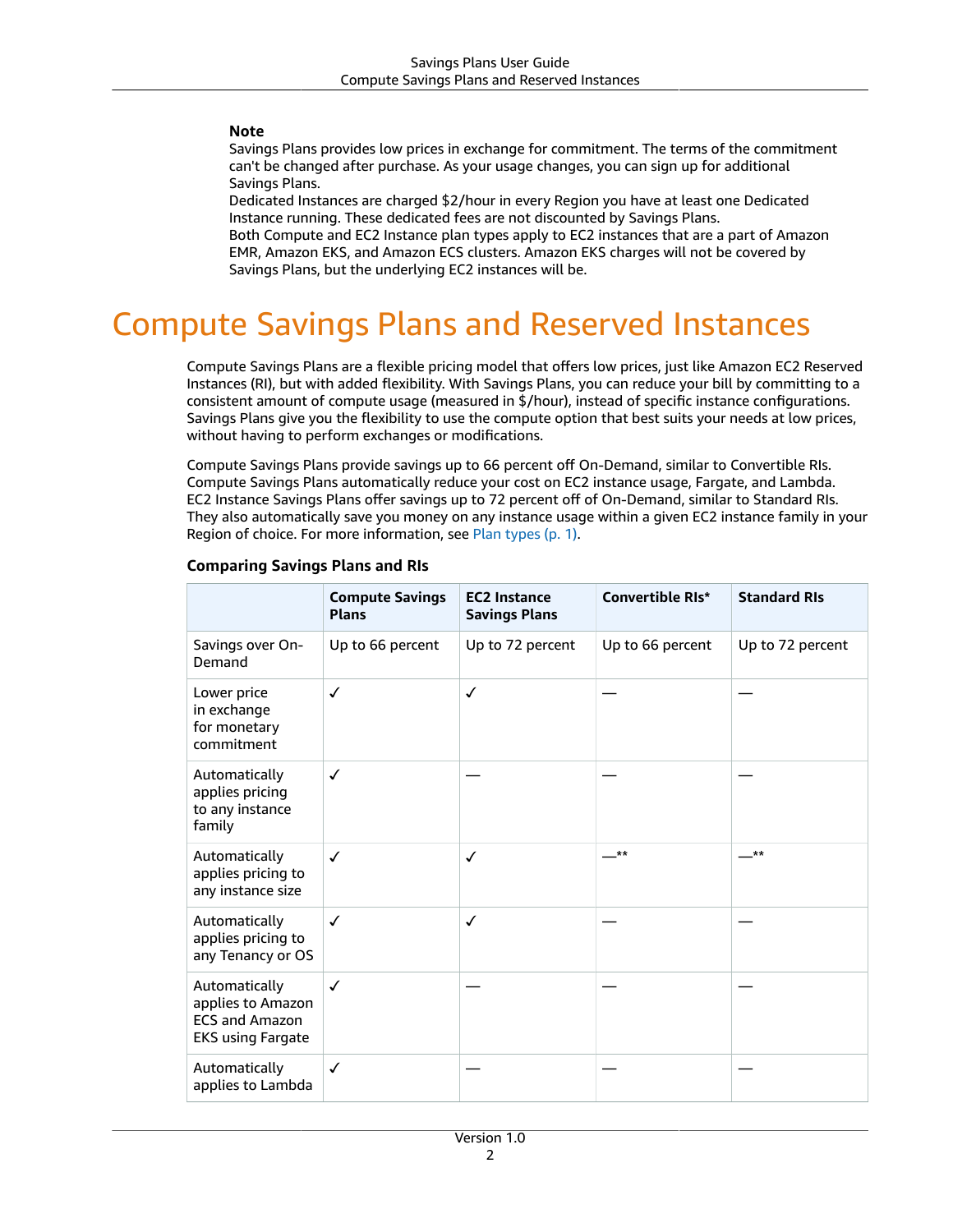#### **Note**

Savings Plans provides low prices in exchange for commitment. The terms of the commitment can't be changed after purchase. As your usage changes, you can sign up for additional Savings Plans.

Dedicated Instances are charged \$2/hour in every Region you have at least one Dedicated Instance running. These dedicated fees are not discounted by Savings Plans.

Both Compute and EC2 Instance plan types apply to EC2 instances that are a part of Amazon EMR, Amazon EKS, and Amazon ECS clusters. Amazon EKS charges will not be covered by Savings Plans, but the underlying EC2 instances will be.

## <span id="page-5-0"></span>Compute Savings Plans and Reserved Instances

Compute Savings Plans are a flexible pricing model that offers low prices, just like Amazon EC2 Reserved Instances (RI), but with added flexibility. With Savings Plans, you can reduce your bill by committing to a consistent amount of compute usage (measured in \$/hour), instead of specific instance configurations. Savings Plans give you the flexibility to use the compute option that best suits your needs at low prices, without having to perform exchanges or modifications.

Compute Savings Plans provide savings up to 66 percent off On-Demand, similar to Convertible RIs. Compute Savings Plans automatically reduce your cost on EC2 instance usage, Fargate, and Lambda. EC2 Instance Savings Plans offer savings up to 72 percent off of On-Demand, similar to Standard RIs. They also automatically save you money on any instance usage within a given EC2 instance family in your Region of choice. For more information, see Plan [types \(p. 1\)](#page-4-1).

|                                                                                         | <b>Compute Savings</b><br><b>Plans</b> | <b>EC2 Instance</b><br><b>Savings Plans</b> | <b>Convertible RIs*</b> | <b>Standard RIs</b> |
|-----------------------------------------------------------------------------------------|----------------------------------------|---------------------------------------------|-------------------------|---------------------|
| Savings over On-<br>Demand                                                              | Up to 66 percent                       | Up to 72 percent                            | Up to 66 percent        | Up to 72 percent    |
| Lower price<br>in exchange<br>for monetary<br>commitment                                | $\checkmark$                           | ✓                                           |                         |                     |
| Automatically<br>applies pricing<br>to any instance<br>family                           | $\checkmark$                           |                                             |                         |                     |
| Automatically<br>applies pricing to<br>any instance size                                | $\checkmark$                           | $\checkmark$                                | $***$                   | <b>**</b>           |
| Automatically<br>applies pricing to<br>any Tenancy or OS                                | $\checkmark$                           | ✓                                           |                         |                     |
| Automatically<br>applies to Amazon<br><b>ECS and Amazon</b><br><b>EKS using Fargate</b> | $\checkmark$                           |                                             |                         |                     |
| Automatically<br>applies to Lambda                                                      | ✓                                      |                                             |                         |                     |

#### **Comparing Savings Plans and RIs**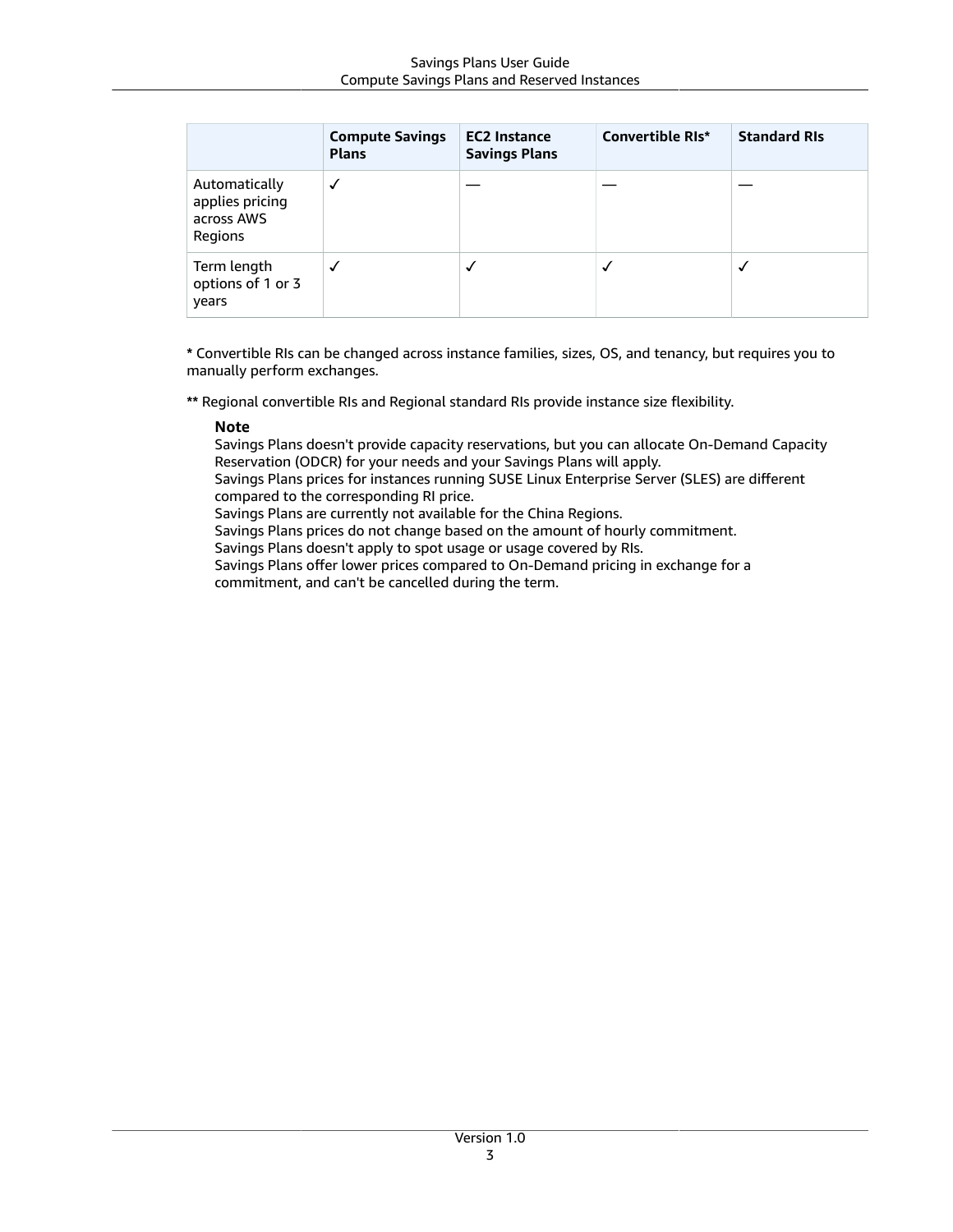|                                                           | <b>Compute Savings</b><br><b>Plans</b> | <b>EC2 Instance</b><br><b>Savings Plans</b> | <b>Convertible RIs*</b> | <b>Standard RIs</b> |
|-----------------------------------------------------------|----------------------------------------|---------------------------------------------|-------------------------|---------------------|
| Automatically<br>applies pricing<br>across AWS<br>Regions | ✓                                      |                                             |                         |                     |
| Term length<br>options of 1 or 3<br>years                 | √                                      |                                             |                         |                     |

**\*** Convertible RIs can be changed across instance families, sizes, OS, and tenancy, but requires you to manually perform exchanges.

**\*\*** Regional convertible RIs and Regional standard RIs provide instance size flexibility.

#### **Note**

Savings Plans doesn't provide capacity reservations, but you can allocate On-Demand Capacity Reservation (ODCR) for your needs and your Savings Plans will apply.

Savings Plans prices for instances running SUSE Linux Enterprise Server (SLES) are different compared to the corresponding RI price.

Savings Plans are currently not available for the China Regions.

Savings Plans prices do not change based on the amount of hourly commitment.

Savings Plans doesn't apply to spot usage or usage covered by RIs.

Savings Plans offer lower prices compared to On-Demand pricing in exchange for a commitment, and can't be cancelled during the term.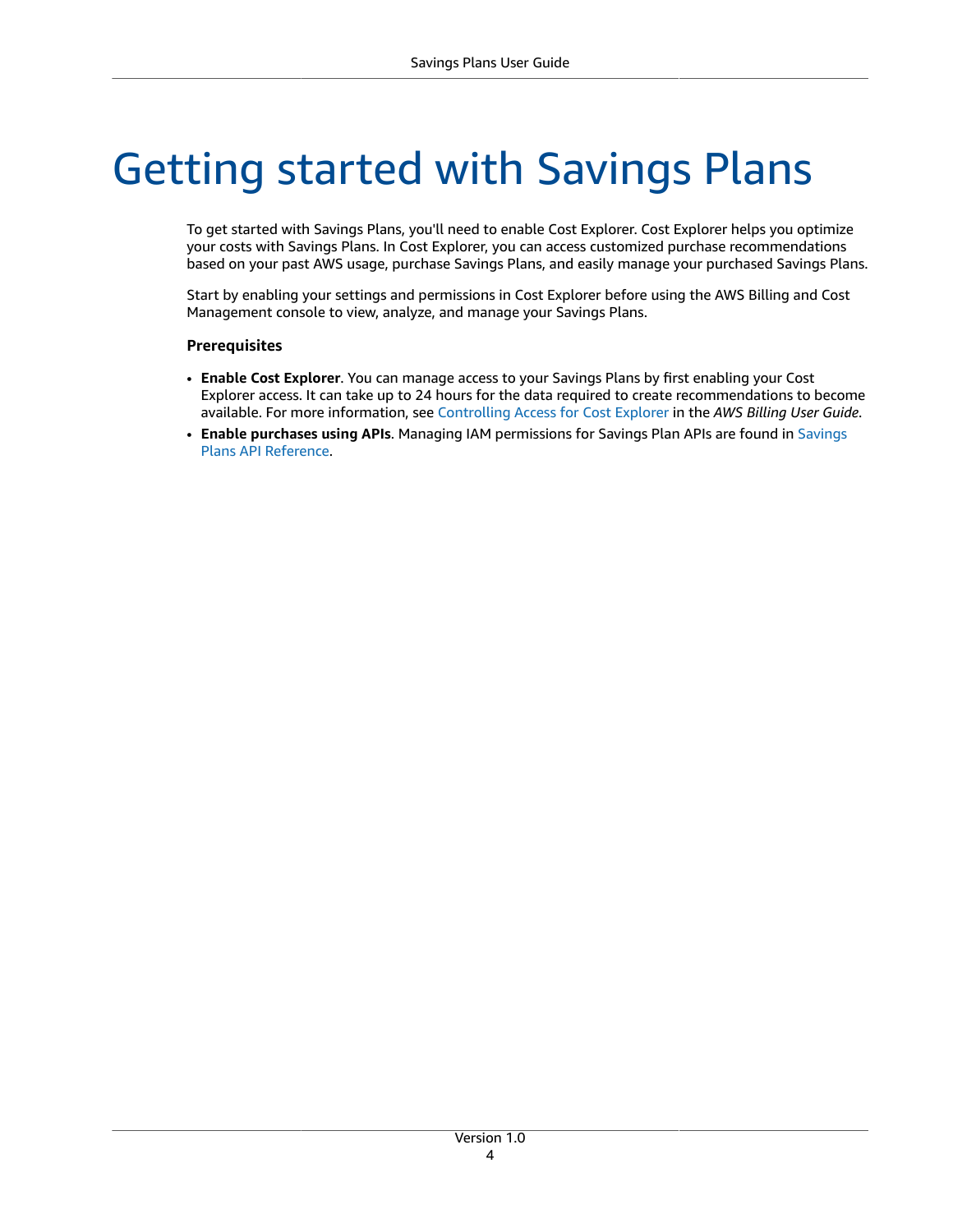# <span id="page-7-0"></span>Getting started with Savings Plans

To get started with Savings Plans, you'll need to enable Cost Explorer. Cost Explorer helps you optimize your costs with Savings Plans. In Cost Explorer, you can access customized purchase recommendations based on your past AWS usage, purchase Savings Plans, and easily manage your purchased Savings Plans.

Start by enabling your settings and permissions in Cost Explorer before using the AWS Billing and Cost Management console to view, analyze, and manage your Savings Plans.

#### **Prerequisites**

- **Enable Cost Explorer**. You can manage access to your Savings Plans by first enabling your Cost Explorer access. It can take up to 24 hours for the data required to create recommendations to become available. For more information, see [Controlling](https://docs.aws.amazon.com/awsaccountbilling/latest/aboutv2/ce-access.html) Access for Cost Explorer in the *AWS Billing User Guide*.
- **Enable purchases using APIs**. Managing IAM permissions for Savings Plan APIs are found in [Savings](https://docs.aws.amazon.com/savingsplans/latest/APIReference/Welcome.html) Plans API [Reference.](https://docs.aws.amazon.com/savingsplans/latest/APIReference/Welcome.html)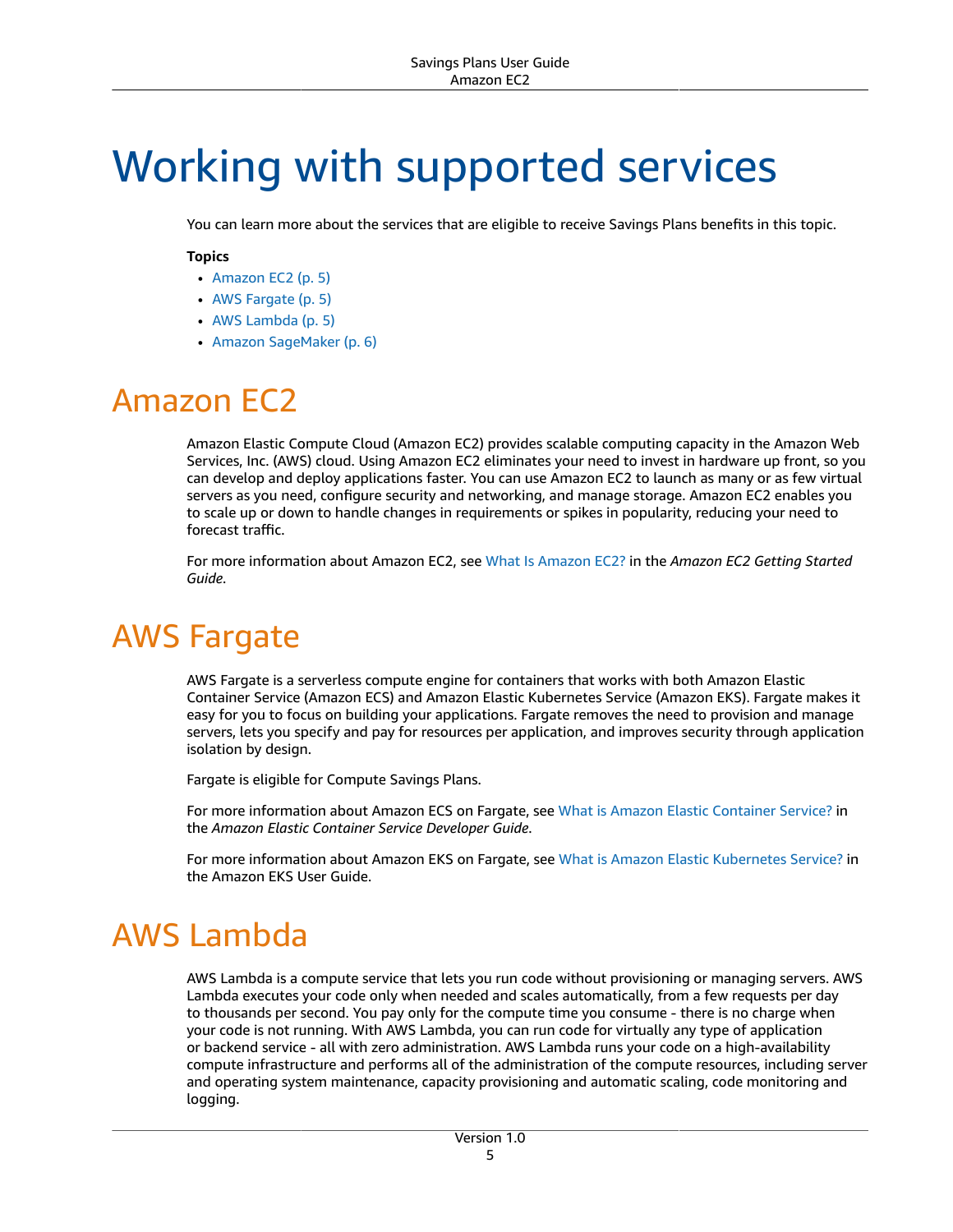# <span id="page-8-0"></span>Working with supported services

You can learn more about the services that are eligible to receive Savings Plans benefits in this topic.

#### **Topics**

- Amazon [EC2 \(p. 5\)](#page-8-1)
- AWS [Fargate \(p. 5\)](#page-8-2)
- AWS [Lambda \(p. 5\)](#page-8-3)
- Amazon [SageMaker \(p. 6\)](#page-9-0)

## <span id="page-8-1"></span>Amazon EC2

Amazon Elastic Compute Cloud (Amazon EC2) provides scalable computing capacity in the Amazon Web Services, Inc. (AWS) cloud. Using Amazon EC2 eliminates your need to invest in hardware up front, so you can develop and deploy applications faster. You can use Amazon EC2 to launch as many or as few virtual servers as you need, configure security and networking, and manage storage. Amazon EC2 enables you to scale up or down to handle changes in requirements or spikes in popularity, reducing your need to forecast traffic.

For more information about Amazon EC2, see What Is [Amazon](https://docs.aws.amazon.com/AWSEC2/latest/WindowsGuide/concepts.html) EC2? in the *Amazon EC2 Getting Started Guide*.

## <span id="page-8-2"></span>AWS Fargate

AWS Fargate is a serverless compute engine for containers that works with both Amazon Elastic Container Service (Amazon ECS) and Amazon Elastic Kubernetes Service (Amazon EKS). Fargate makes it easy for you to focus on building your applications. Fargate removes the need to provision and manage servers, lets you specify and pay for resources per application, and improves security through application isolation by design.

Fargate is eligible for Compute Savings Plans.

For more information about Amazon ECS on Fargate, see What is Amazon Elastic [Container](https://docs.aws.amazon.com/AmazonECS/latest/developerguide/Welcome.html) Service? in the *Amazon Elastic Container Service Developer Guide*.

For more information about Amazon EKS on Fargate, see What is Amazon Elastic [Kubernetes](https://docs.aws.amazon.com/eks/latest/userguide/what-is-eks.html) Service? in the Amazon EKS User Guide.

## <span id="page-8-3"></span>AWS Lambda

AWS Lambda is a compute service that lets you run code without provisioning or managing servers. AWS Lambda executes your code only when needed and scales automatically, from a few requests per day to thousands per second. You pay only for the compute time you consume - there is no charge when your code is not running. With AWS Lambda, you can run code for virtually any type of application or backend service - all with zero administration. AWS Lambda runs your code on a high-availability compute infrastructure and performs all of the administration of the compute resources, including server and operating system maintenance, capacity provisioning and automatic scaling, code monitoring and logging.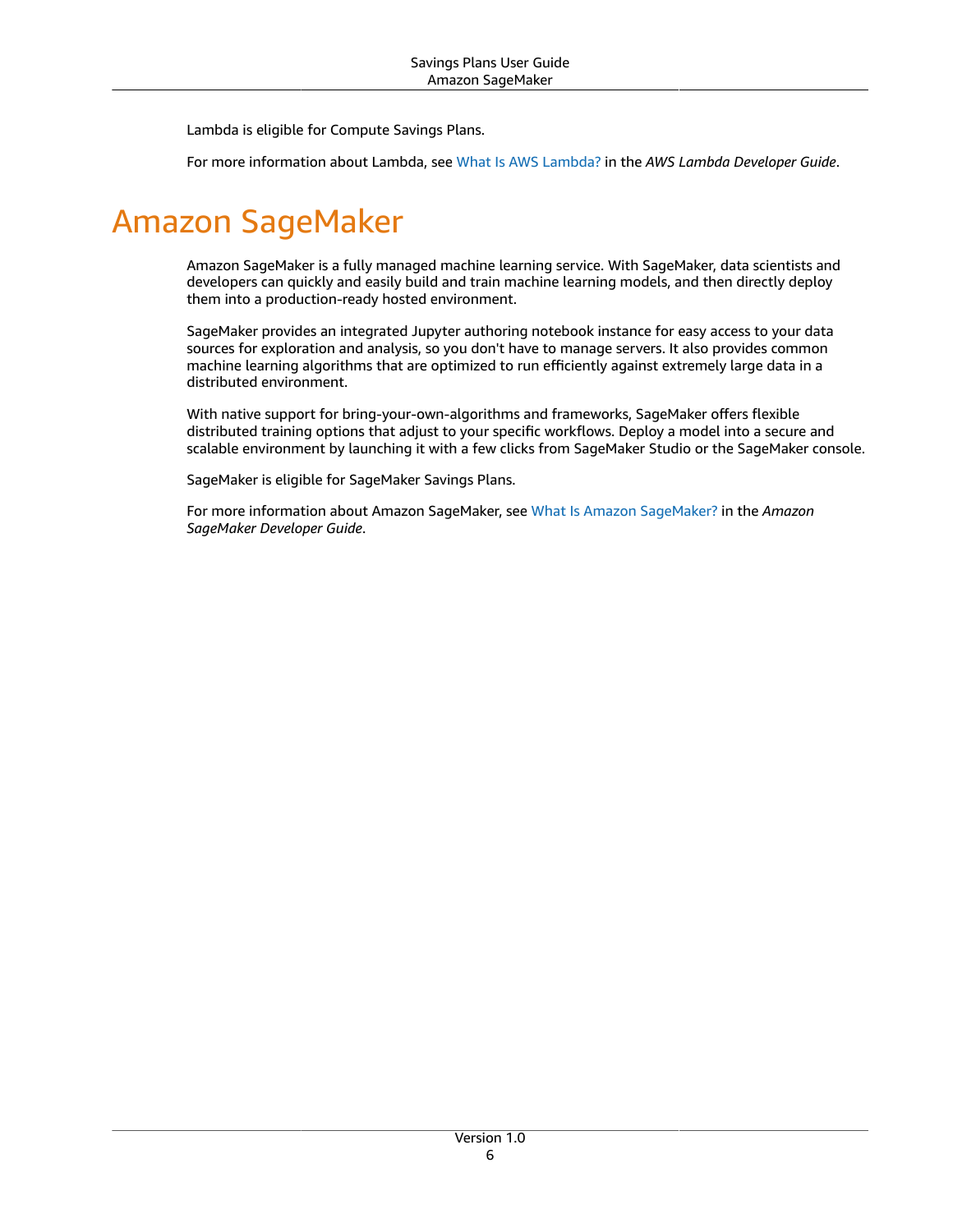Lambda is eligible for Compute Savings Plans.

For more information about Lambda, see What Is AWS [Lambda?](https://docs.aws.amazon.com/lambda/latest/dg/services-costmanagement.html) in the *AWS Lambda Developer Guide*.

# <span id="page-9-0"></span>Amazon SageMaker

Amazon SageMaker is a fully managed machine learning service. With SageMaker, data scientists and developers can quickly and easily build and train machine learning models, and then directly deploy them into a production-ready hosted environment.

SageMaker provides an integrated Jupyter authoring notebook instance for easy access to your data sources for exploration and analysis, so you don't have to manage servers. It also provides common machine learning algorithms that are optimized to run efficiently against extremely large data in a distributed environment.

With native support for bring-your-own-algorithms and frameworks, SageMaker offers flexible distributed training options that adjust to your specific workflows. Deploy a model into a secure and scalable environment by launching it with a few clicks from SageMaker Studio or the SageMaker console.

SageMaker is eligible for SageMaker Savings Plans.

For more information about Amazon SageMaker, see What Is Amazon [SageMaker?](https://docs.aws.amazon.com/sagemaker/latest/dg/whatis.html) in the *Amazon SageMaker Developer Guide*.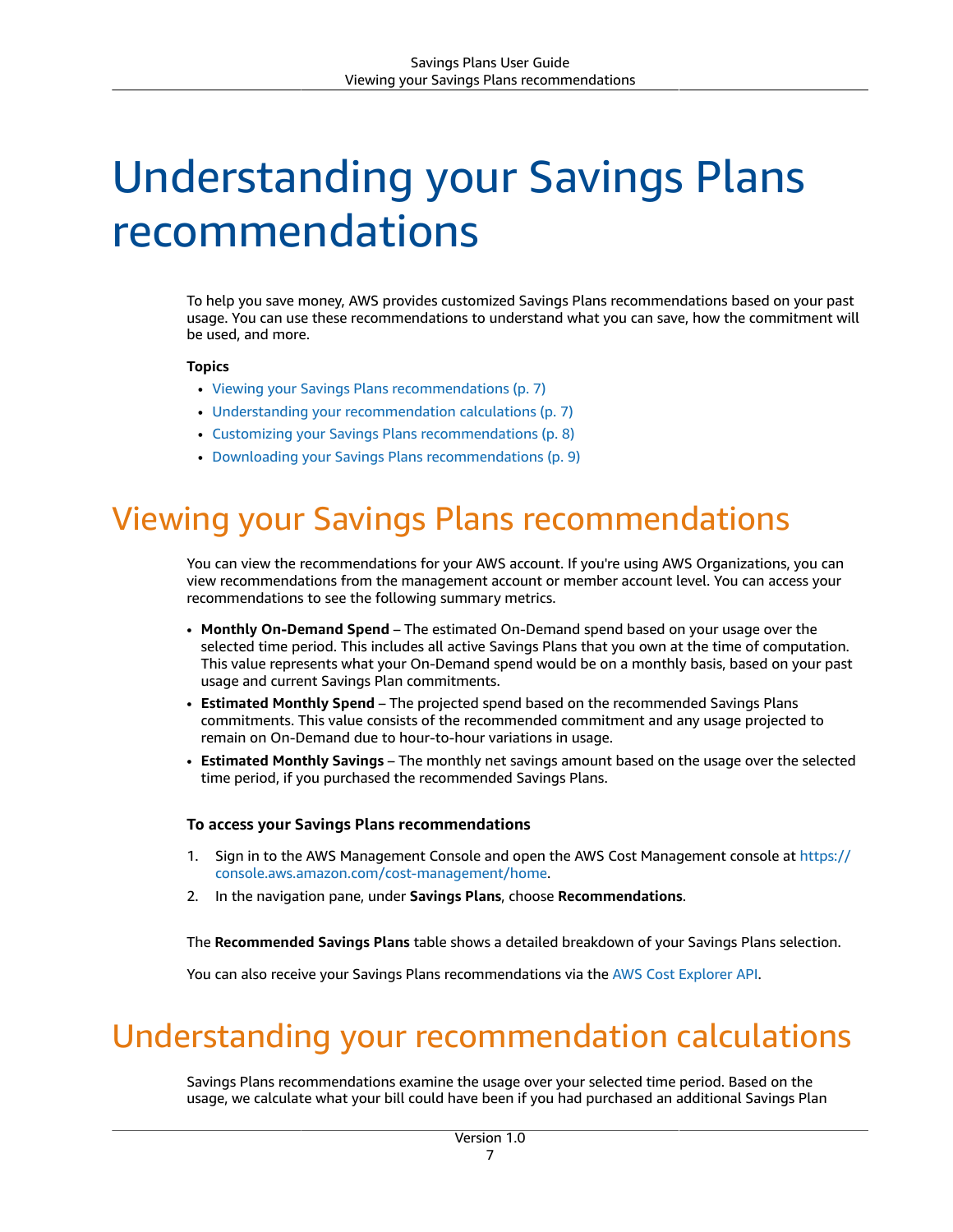# <span id="page-10-0"></span>Understanding your Savings Plans recommendations

To help you save money, AWS provides customized Savings Plans recommendations based on your past usage. You can use these recommendations to understand what you can save, how the commitment will be used, and more.

#### **Topics**

- Viewing your Savings Plans [recommendations \(p. 7\)](#page-10-1)
- Understanding your recommendation [calculations \(p. 7\)](#page-10-2)
- Customizing your Savings Plans [recommendations \(p. 8\)](#page-11-0)
- Downloading your Savings Plans [recommendations \(p. 9\)](#page-12-0)

### <span id="page-10-1"></span>Viewing your Savings Plans recommendations

You can view the recommendations for your AWS account. If you're using AWS Organizations, you can view recommendations from the management account or member account level. You can access your recommendations to see the following summary metrics.

- **Monthly On-Demand Spend** The estimated On-Demand spend based on your usage over the selected time period. This includes all active Savings Plans that you own at the time of computation. This value represents what your On-Demand spend would be on a monthly basis, based on your past usage and current Savings Plan commitments.
- **Estimated Monthly Spend** The projected spend based on the recommended Savings Plans commitments. This value consists of the recommended commitment and any usage projected to remain on On-Demand due to hour-to-hour variations in usage.
- **Estimated Monthly Savings** The monthly net savings amount based on the usage over the selected time period, if you purchased the recommended Savings Plans.

#### **To access your Savings Plans recommendations**

- 1. Sign in to the AWS Management Console and open the AWS Cost Management console at [https://](https://console.aws.amazon.com/cost-management/home) [console.aws.amazon.com/cost-management/home.](https://console.aws.amazon.com/cost-management/home)
- 2. In the navigation pane, under **Savings Plans**, choose **Recommendations**.

The **Recommended Savings Plans** table shows a detailed breakdown of your Savings Plans selection.

You can also receive your Savings Plans recommendations via the AWS Cost [Explorer](https://docs.aws.amazon.com/aws-cost-management/latest/APIReference/API_GetSavingsPlansPurchaseRecommendation.html) API.

### <span id="page-10-2"></span>Understanding your recommendation calculations

Savings Plans recommendations examine the usage over your selected time period. Based on the usage, we calculate what your bill could have been if you had purchased an additional Savings Plan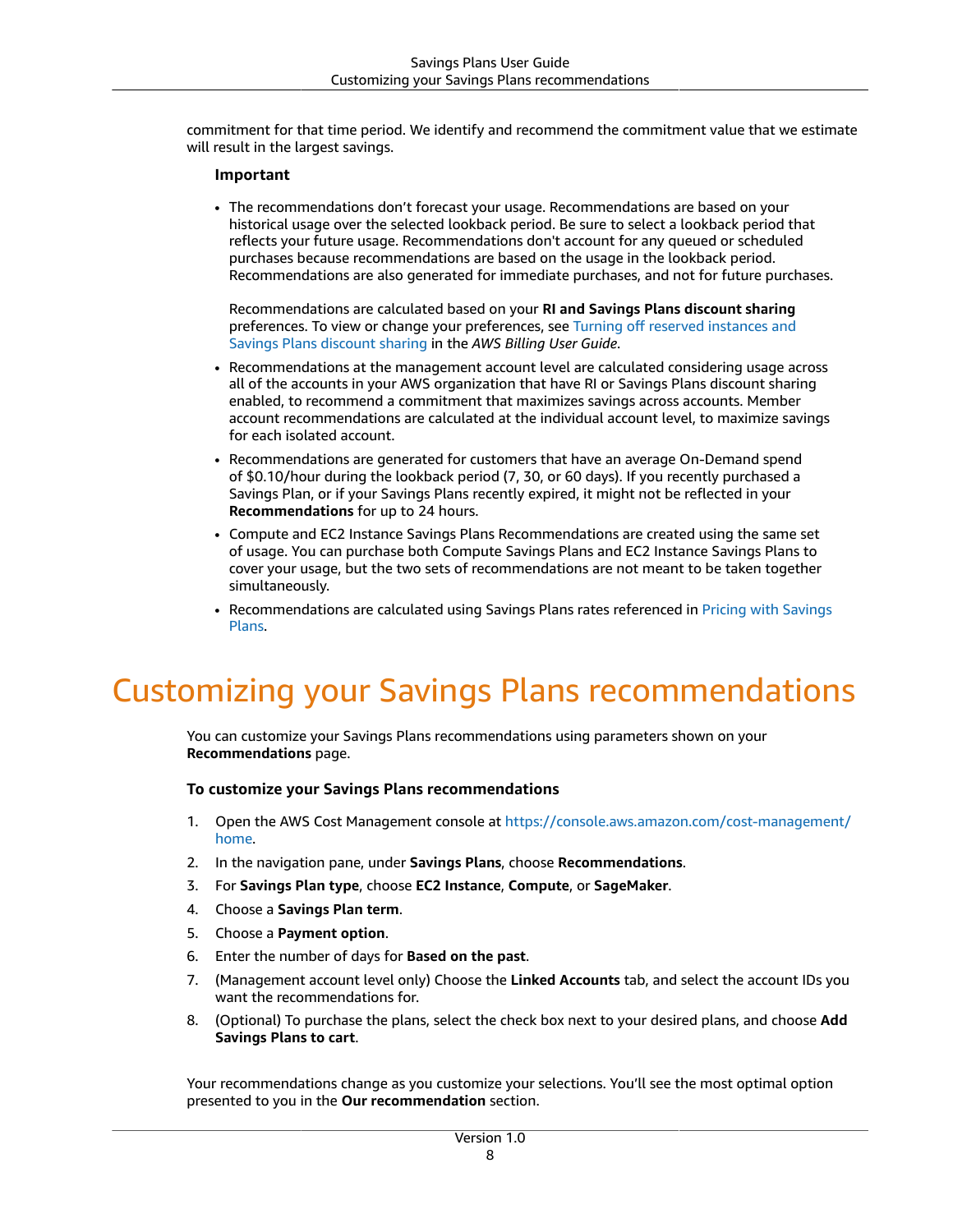commitment for that time period. We identify and recommend the commitment value that we estimate will result in the largest savings.

#### **Important**

• The recommendations don't forecast your usage. Recommendations are based on your historical usage over the selected lookback period. Be sure to select a lookback period that reflects your future usage. Recommendations don't account for any queued or scheduled purchases because recommendations are based on the usage in the lookback period. Recommendations are also generated for immediate purchases, and not for future purchases.

Recommendations are calculated based on your **RI and Savings Plans discount sharing** preferences. To view or change your preferences, see Turning off reserved [instances](https://docs.aws.amazon.com/awsaccountbilling/latest/aboutv2/ri-turn-off.html) and Savings Plans [discount](https://docs.aws.amazon.com/awsaccountbilling/latest/aboutv2/ri-turn-off.html) sharing in the *AWS Billing User Guide*.

- Recommendations at the management account level are calculated considering usage across all of the accounts in your AWS organization that have RI or Savings Plans discount sharing enabled, to recommend a commitment that maximizes savings across accounts. Member account recommendations are calculated at the individual account level, to maximize savings for each isolated account.
- Recommendations are generated for customers that have an average On-Demand spend of \$0.10/hour during the lookback period (7, 30, or 60 days). If you recently purchased a Savings Plan, or if your Savings Plans recently expired, it might not be reflected in your **Recommendations** for up to 24 hours.
- Compute and EC2 Instance Savings Plans Recommendations are created using the same set of usage. You can purchase both Compute Savings Plans and EC2 Instance Savings Plans to cover your usage, but the two sets of recommendations are not meant to be taken together simultaneously.
- Recommendations are calculated using Savings Plans rates referenced in Pricing with [Savings](http://aws.amazon.com/savingsplans/pricing/) [Plans.](http://aws.amazon.com/savingsplans/pricing/)

## <span id="page-11-0"></span>Customizing your Savings Plans recommendations

You can customize your Savings Plans recommendations using parameters shown on your **Recommendations** page.

#### **To customize your Savings Plans recommendations**

- 1. Open the AWS Cost Management console at [https://console.aws.amazon.com/cost-management/](https://console.aws.amazon.com/cost-management/home) [home](https://console.aws.amazon.com/cost-management/home).
- 2. In the navigation pane, under **Savings Plans**, choose **Recommendations**.
- 3. For **Savings Plan type**, choose **EC2 Instance**, **Compute**, or **SageMaker**.
- 4. Choose a **Savings Plan term**.
- 5. Choose a **Payment option**.
- 6. Enter the number of days for **Based on the past**.
- 7. (Management account level only) Choose the **Linked Accounts** tab, and select the account IDs you want the recommendations for.
- 8. (Optional) To purchase the plans, select the check box next to your desired plans, and choose **Add Savings Plans to cart**.

Your recommendations change as you customize your selections. You'll see the most optimal option presented to you in the **Our recommendation** section.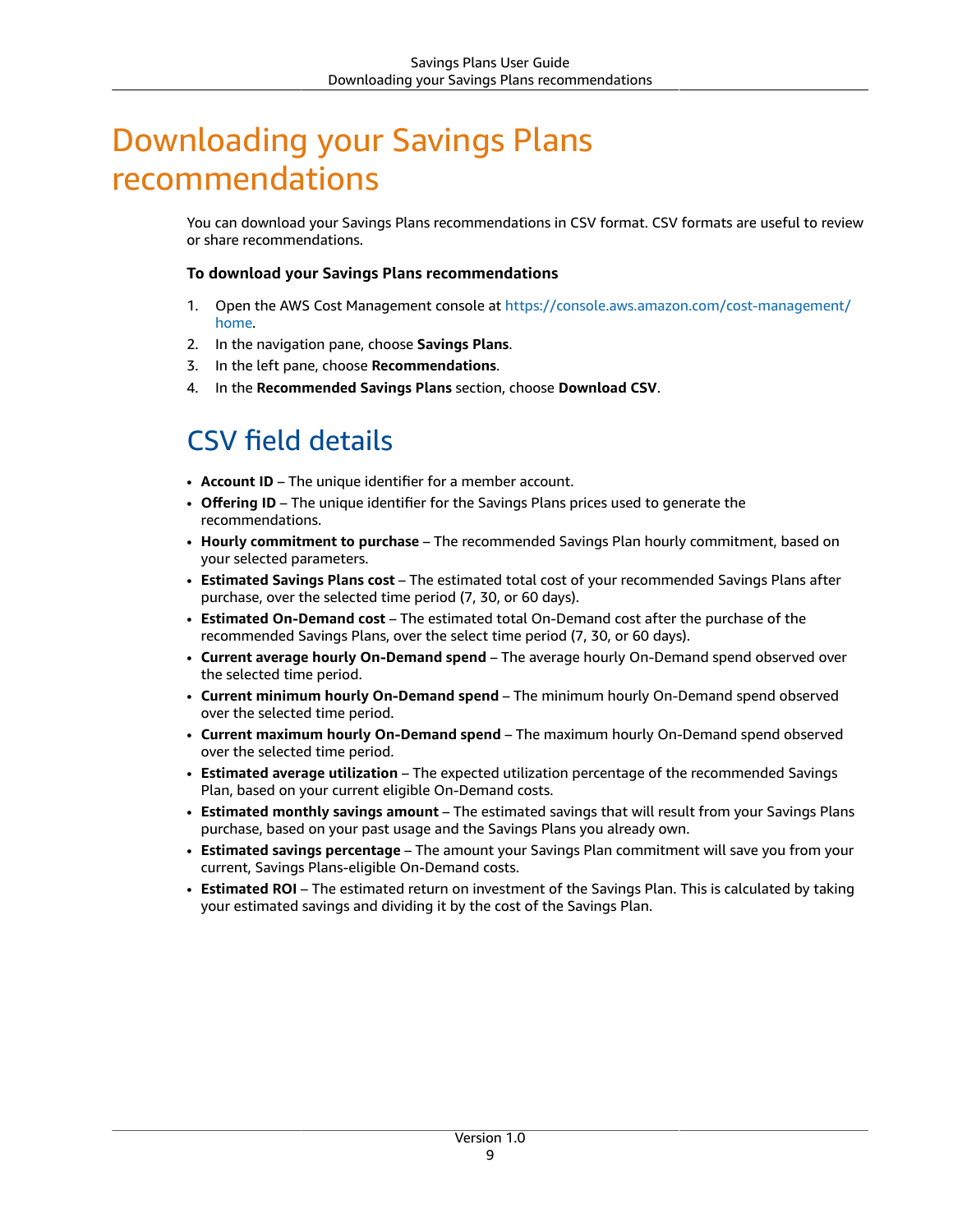## <span id="page-12-0"></span>Downloading your Savings Plans recommendations

You can download your Savings Plans recommendations in CSV format. CSV formats are useful to review or share recommendations.

#### **To download your Savings Plans recommendations**

- 1. Open the AWS Cost Management console at [https://console.aws.amazon.com/cost-management/](https://console.aws.amazon.com/cost-management/home) [home](https://console.aws.amazon.com/cost-management/home).
- 2. In the navigation pane, choose **Savings Plans**.
- 3. In the left pane, choose **Recommendations**.
- 4. In the **Recommended Savings Plans** section, choose **Download CSV**.

### <span id="page-12-1"></span>CSV field details

- **Account ID** The unique identifier for a member account.
- **Offering ID** The unique identifier for the Savings Plans prices used to generate the recommendations.
- **Hourly commitment to purchase** The recommended Savings Plan hourly commitment, based on your selected parameters.
- **Estimated Savings Plans cost** The estimated total cost of your recommended Savings Plans after purchase, over the selected time period (7, 30, or 60 days).
- **Estimated On-Demand cost** The estimated total On-Demand cost after the purchase of the recommended Savings Plans, over the select time period (7, 30, or 60 days).
- **Current average hourly On-Demand spend** The average hourly On-Demand spend observed over the selected time period.
- **Current minimum hourly On-Demand spend** The minimum hourly On-Demand spend observed over the selected time period.
- **Current maximum hourly On-Demand spend** The maximum hourly On-Demand spend observed over the selected time period.
- **Estimated average utilization** The expected utilization percentage of the recommended Savings Plan, based on your current eligible On-Demand costs.
- **Estimated monthly savings amount** The estimated savings that will result from your Savings Plans purchase, based on your past usage and the Savings Plans you already own.
- **Estimated savings percentage** The amount your Savings Plan commitment will save you from your current, Savings Plans-eligible On-Demand costs.
- **Estimated ROI** The estimated return on investment of the Savings Plan. This is calculated by taking your estimated savings and dividing it by the cost of the Savings Plan.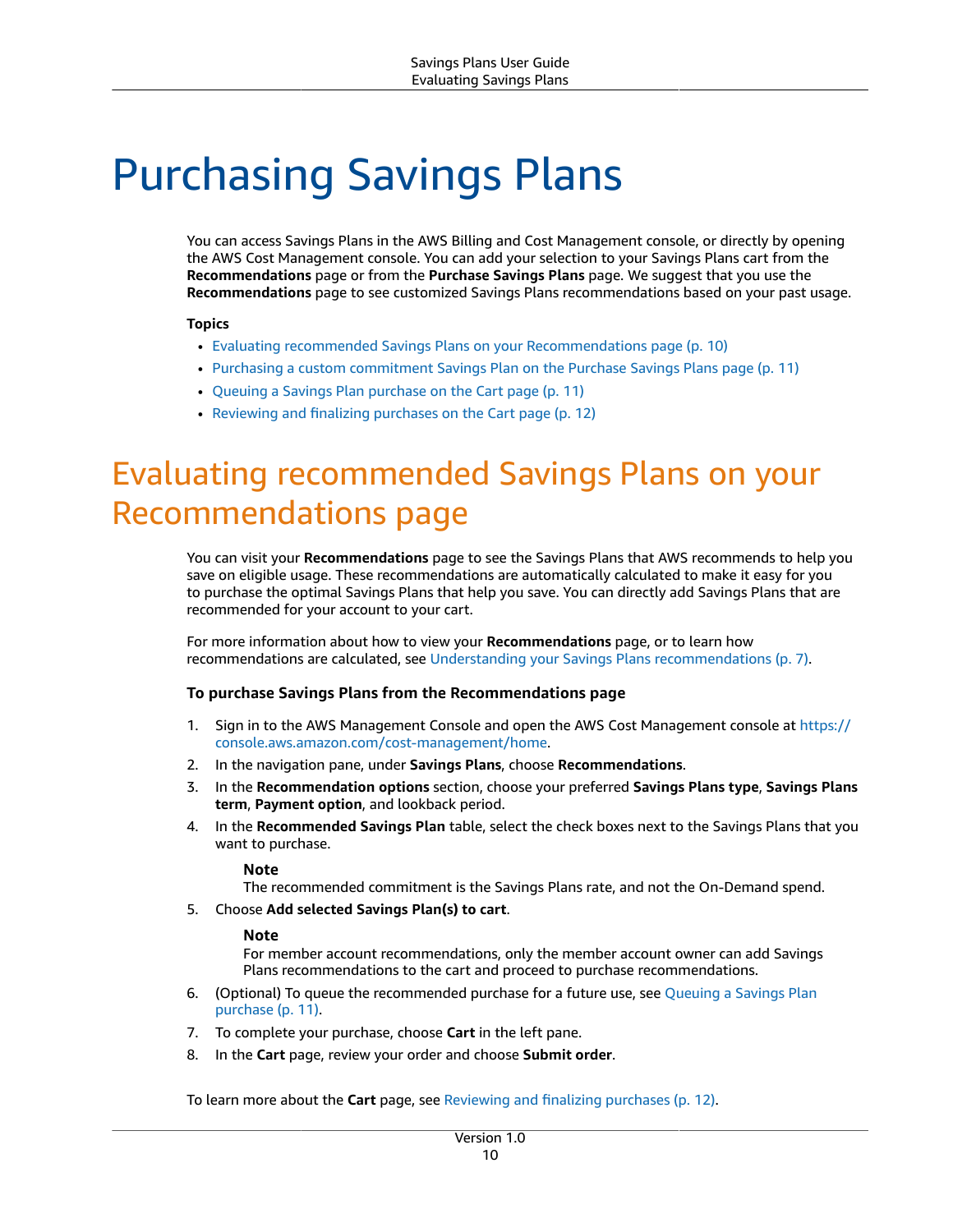# <span id="page-13-0"></span>Purchasing Savings Plans

You can access Savings Plans in the AWS Billing and Cost Management console, or directly by opening the AWS Cost Management console. You can add your selection to your Savings Plans cart from the **Recommendations** page or from the **Purchase Savings Plans** page. We suggest that you use the **Recommendations** page to see customized Savings Plans recommendations based on your past usage.

#### **Topics**

- Evaluating recommended Savings Plans on your [Recommendations](#page-13-1) page (p. 10)
- Purchasing a custom [commitment](#page-14-0) Savings Plan on the Purchase Savings Plans page (p. 11)
- Queuing a Savings Plan purchase on the Cart [page \(p. 11\)](#page-14-1)
- Reviewing and finalizing purchases on the Cart [page \(p. 12\)](#page-15-0)

# <span id="page-13-1"></span>Evaluating recommended Savings Plans on your Recommendations page

You can visit your **Recommendations** page to see the Savings Plans that AWS recommends to help you save on eligible usage. These recommendations are automatically calculated to make it easy for you to purchase the optimal Savings Plans that help you save. You can directly add Savings Plans that are recommended for your account to your cart.

For more information about how to view your **Recommendations** page, or to learn how recommendations are calculated, see Understanding your Savings Plans [recommendations \(p. 7\).](#page-10-0)

#### **To purchase Savings Plans from the Recommendations page**

- 1. Sign in to the AWS Management Console and open the AWS Cost Management console at [https://](https://console.aws.amazon.com/cost-management/home) [console.aws.amazon.com/cost-management/home.](https://console.aws.amazon.com/cost-management/home)
- 2. In the navigation pane, under **Savings Plans**, choose **Recommendations**.
- 3. In the **Recommendation options** section, choose your preferred **Savings Plans type**, **Savings Plans term**, **Payment option**, and lookback period.
- 4. In the **Recommended Savings Plan** table, select the check boxes next to the Savings Plans that you want to purchase.

#### **Note**

The recommended commitment is the Savings Plans rate, and not the On-Demand spend.

5. Choose **Add selected Savings Plan(s) to cart**.

#### **Note**

For member account recommendations, only the member account owner can add Savings Plans recommendations to the cart and proceed to purchase recommendations.

- 6. (Optional) To queue the recommended purchase for a future use, see [Queuing](#page-14-1) a Savings Plan [purchase \(p. 11\).](#page-14-1)
- 7. To complete your purchase, choose **Cart** in the left pane.
- 8. In the **Cart** page, review your order and choose **Submit order**.

To learn more about the **Cart** page, see [Reviewing](#page-15-0) and finalizing purchases [\(p. 12\).](#page-15-0)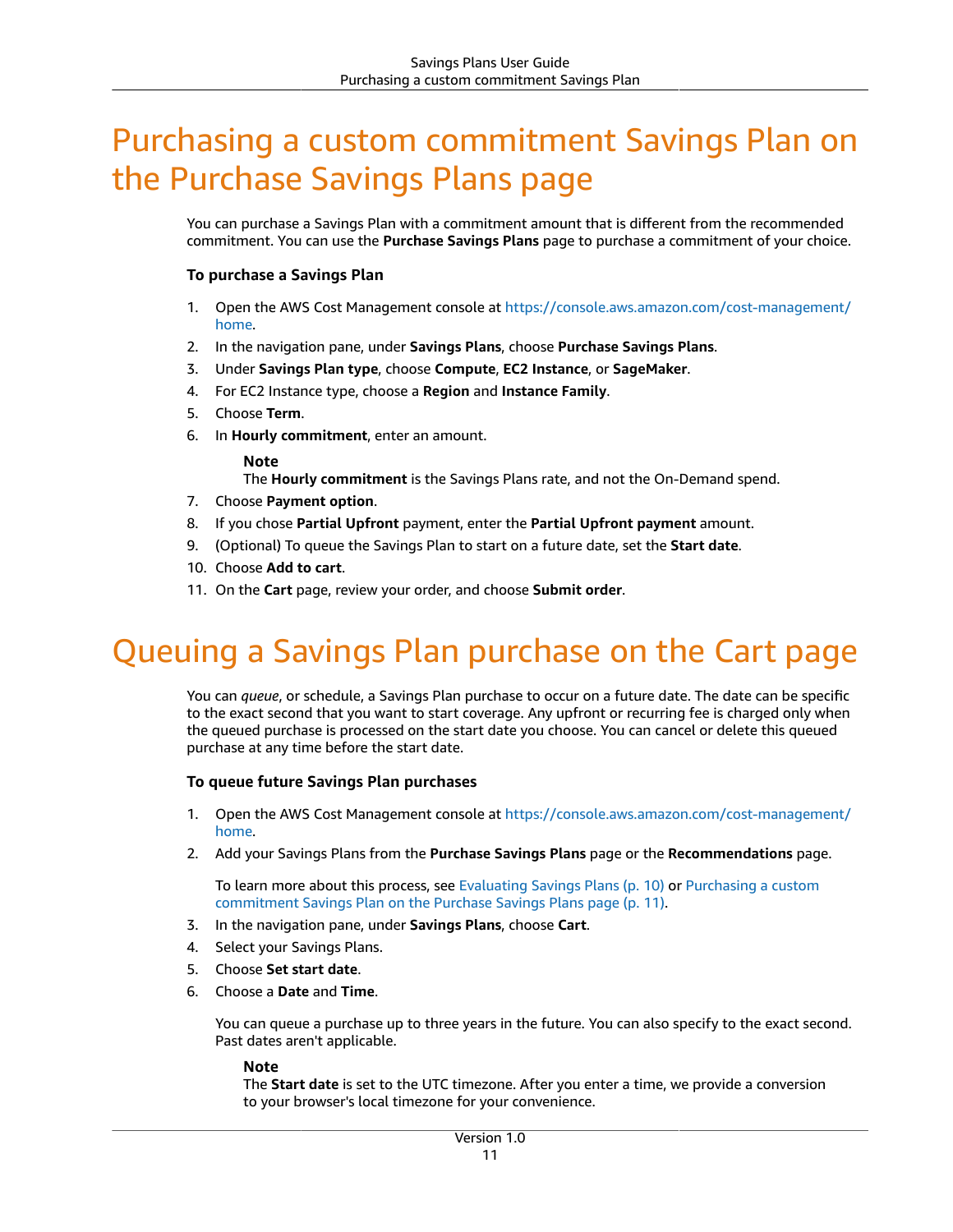## <span id="page-14-0"></span>Purchasing a custom commitment Savings Plan on the Purchase Savings Plans page

You can purchase a Savings Plan with a commitment amount that is different from the recommended commitment. You can use the **Purchase Savings Plans** page to purchase a commitment of your choice.

#### **To purchase a Savings Plan**

- 1. Open the AWS Cost Management console at [https://console.aws.amazon.com/cost-management/](https://console.aws.amazon.com/cost-management/home) [home](https://console.aws.amazon.com/cost-management/home).
- 2. In the navigation pane, under **Savings Plans**, choose **Purchase Savings Plans**.
- 3. Under **Savings Plan type**, choose **Compute**, **EC2 Instance**, or **SageMaker**.
- 4. For EC2 Instance type, choose a **Region** and **Instance Family**.
- 5. Choose **Term**.
- 6. In **Hourly commitment**, enter an amount.

#### **Note**

The **Hourly commitment** is the Savings Plans rate, and not the On-Demand spend.

- 7. Choose **Payment option**.
- 8. If you chose **Partial Upfront** payment, enter the **Partial Upfront payment** amount.
- 9. (Optional) To queue the Savings Plan to start on a future date, set the **Start date**.
- 10. Choose **Add to cart**.
- 11. On the **Cart** page, review your order, and choose **Submit order**.

## <span id="page-14-1"></span>Queuing a Savings Plan purchase on the Cart page

You can *queue*, or schedule, a Savings Plan purchase to occur on a future date. The date can be specific to the exact second that you want to start coverage. Any upfront or recurring fee is charged only when the queued purchase is processed on the start date you choose. You can cancel or delete this queued purchase at any time before the start date.

#### **To queue future Savings Plan purchases**

- 1. Open the AWS Cost Management console at [https://console.aws.amazon.com/cost-management/](https://console.aws.amazon.com/cost-management/home) [home](https://console.aws.amazon.com/cost-management/home).
- 2. Add your Savings Plans from the **Purchase Savings Plans** page or the **Recommendations** page.

To learn more about this process, see [Evaluating](#page-13-1) Savings Plan[s \(p. 10\)](#page-13-1) or [Purchasing](#page-14-0) a custom [commitment](#page-14-0) Savings Plan on the Purchase Savings Plans pag[e \(p. 11\)](#page-14-0).

- 3. In the navigation pane, under **Savings Plans**, choose **Cart**.
- 4. Select your Savings Plans.
- 5. Choose **Set start date**.
- 6. Choose a **Date** and **Time**.

You can queue a purchase up to three years in the future. You can also specify to the exact second. Past dates aren't applicable.

#### **Note**

The **Start date** is set to the UTC timezone. After you enter a time, we provide a conversion to your browser's local timezone for your convenience.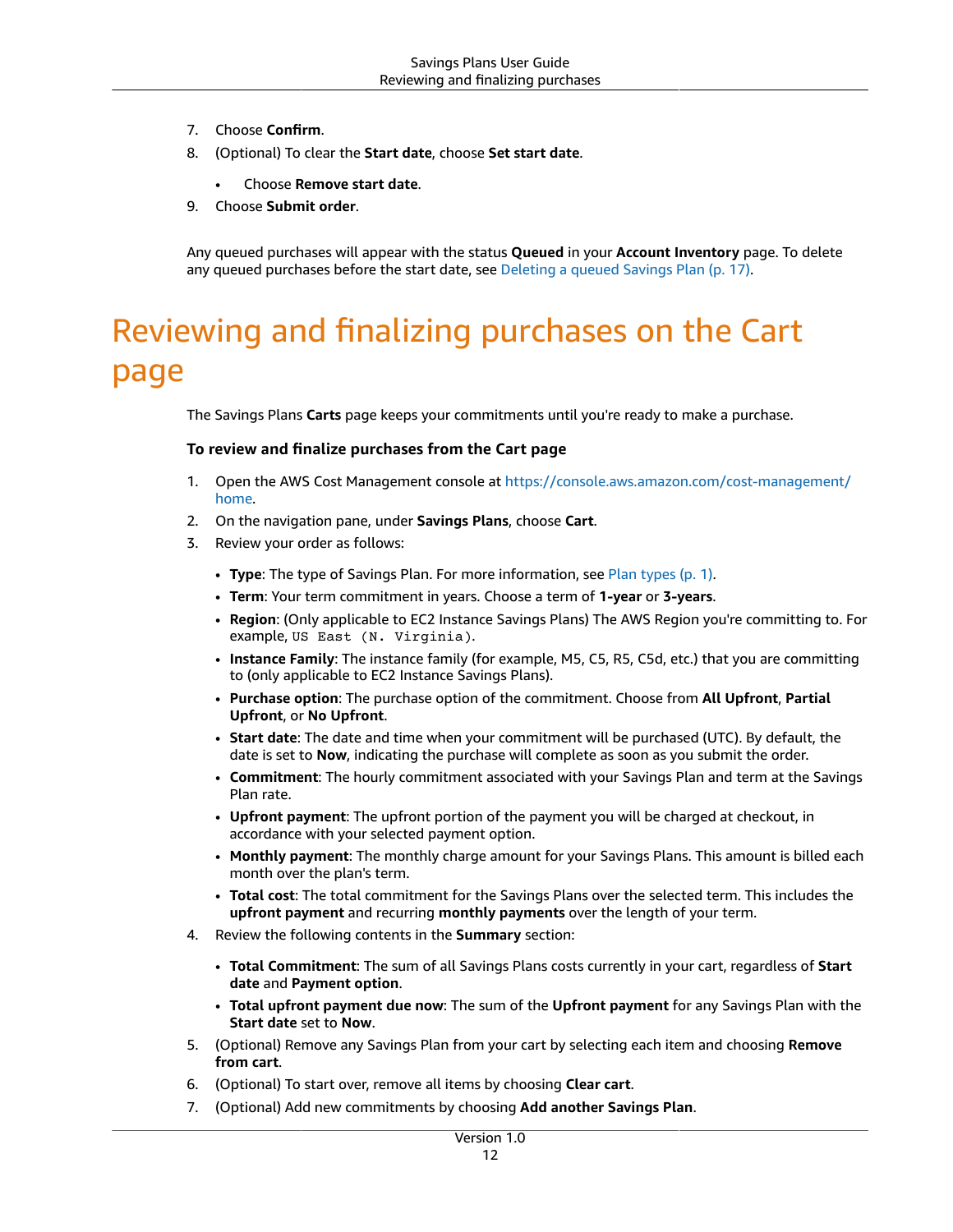- 7. Choose **Confirm**.
- 8. (Optional) To clear the **Start date**, choose **Set start date**.
	- Choose **Remove start date**.
- 9. Choose **Submit order**.

Any queued purchases will appear with the status **Queued** in your **Account Inventory** page. To delete any queued purchases before the start date, see [Deleting](#page-20-1) a queued Savings Pla[n \(p. 17\)](#page-20-1).

# <span id="page-15-0"></span>Reviewing and finalizing purchases on the Cart page

The Savings Plans **Carts** page keeps your commitments until you're ready to make a purchase.

#### **To review and finalize purchases from the Cart page**

- 1. Open the AWS Cost Management console at [https://console.aws.amazon.com/cost-management/](https://console.aws.amazon.com/cost-management/home) [home](https://console.aws.amazon.com/cost-management/home).
- 2. On the navigation pane, under **Savings Plans**, choose **Cart**.
- 3. Review your order as follows:
	- **Type**: The type of Savings Plan. For more information, see Plan [types \(p. 1\)](#page-4-1).
	- **Term**: Your term commitment in years. Choose a term of **1-year** or **3-years**.
	- **Region**: (Only applicable to EC2 Instance Savings Plans) The AWS Region you're committing to. For example, US East (N. Virginia).
	- **Instance Family**: The instance family (for example, M5, C5, R5, C5d, etc.) that you are committing to (only applicable to EC2 Instance Savings Plans).
	- **Purchase option**: The purchase option of the commitment. Choose from **All Upfront**, **Partial Upfront**, or **No Upfront**.
	- **Start date**: The date and time when your commitment will be purchased (UTC). By default, the date is set to **Now**, indicating the purchase will complete as soon as you submit the order.
	- **Commitment**: The hourly commitment associated with your Savings Plan and term at the Savings Plan rate.
	- **Upfront payment**: The upfront portion of the payment you will be charged at checkout, in accordance with your selected payment option.
	- **Monthly payment**: The monthly charge amount for your Savings Plans. This amount is billed each month over the plan's term.
	- **Total cost**: The total commitment for the Savings Plans over the selected term. This includes the **upfront payment** and recurring **monthly payments** over the length of your term.
- 4. Review the following contents in the **Summary** section:
	- **Total Commitment**: The sum of all Savings Plans costs currently in your cart, regardless of **Start date** and **Payment option**.
	- **Total upfront payment due now**: The sum of the **Upfront payment** for any Savings Plan with the **Start date** set to **Now**.
- 5. (Optional) Remove any Savings Plan from your cart by selecting each item and choosing **Remove from cart**.
- 6. (Optional) To start over, remove all items by choosing **Clear cart**.
- 7. (Optional) Add new commitments by choosing **Add another Savings Plan**.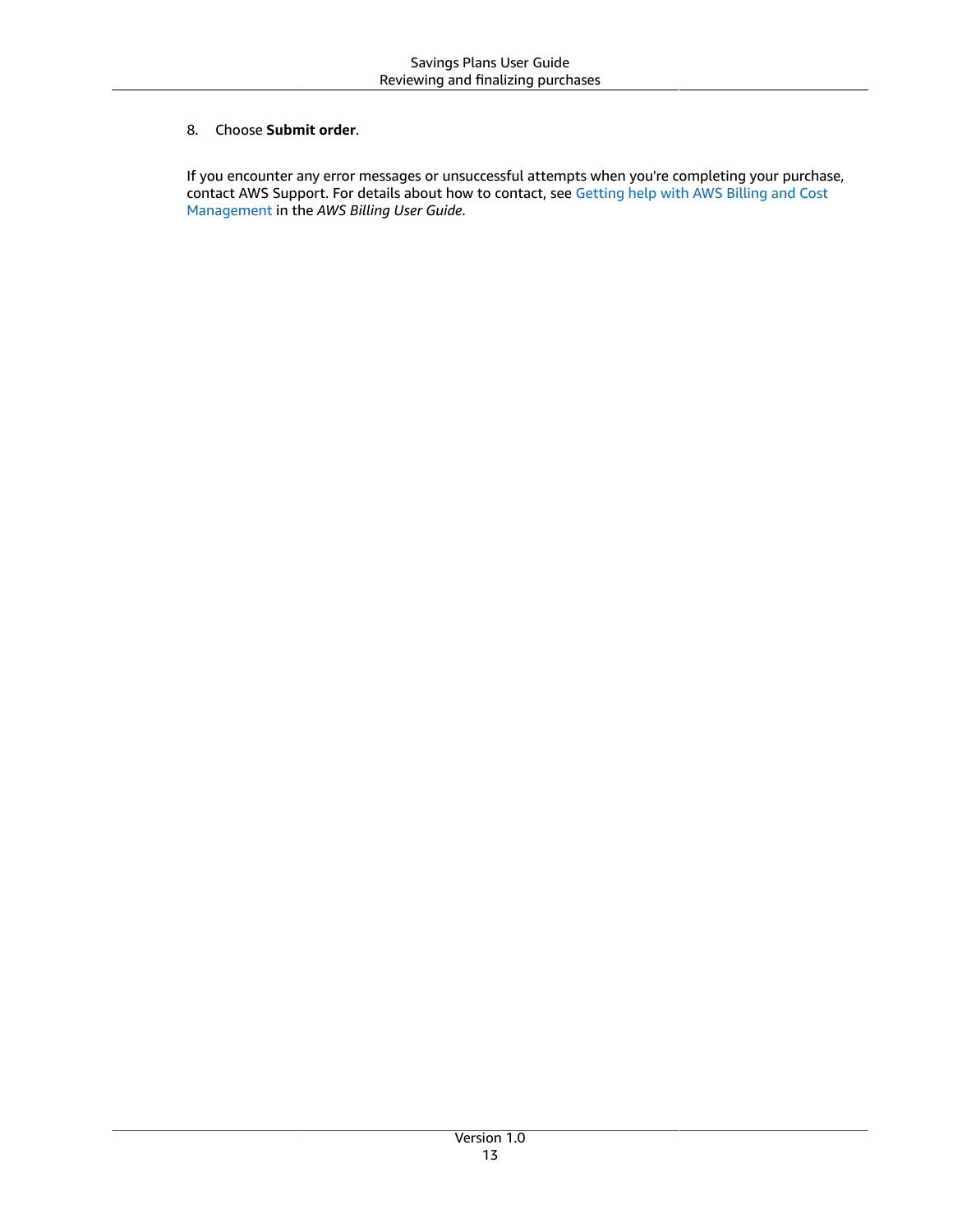#### 8. Choose **Submit order**.

If you encounter any error messages or unsuccessful attempts when you're completing your purchase, contact AWS Support. For details about how to contact, see [Getting](https://docs.aws.amazon.com/awsaccountbilling/latest/aboutv2/billing-get-answers.html) help with AWS Billing and Cost [Management](https://docs.aws.amazon.com/awsaccountbilling/latest/aboutv2/billing-get-answers.html) in the *AWS Billing User Guide*.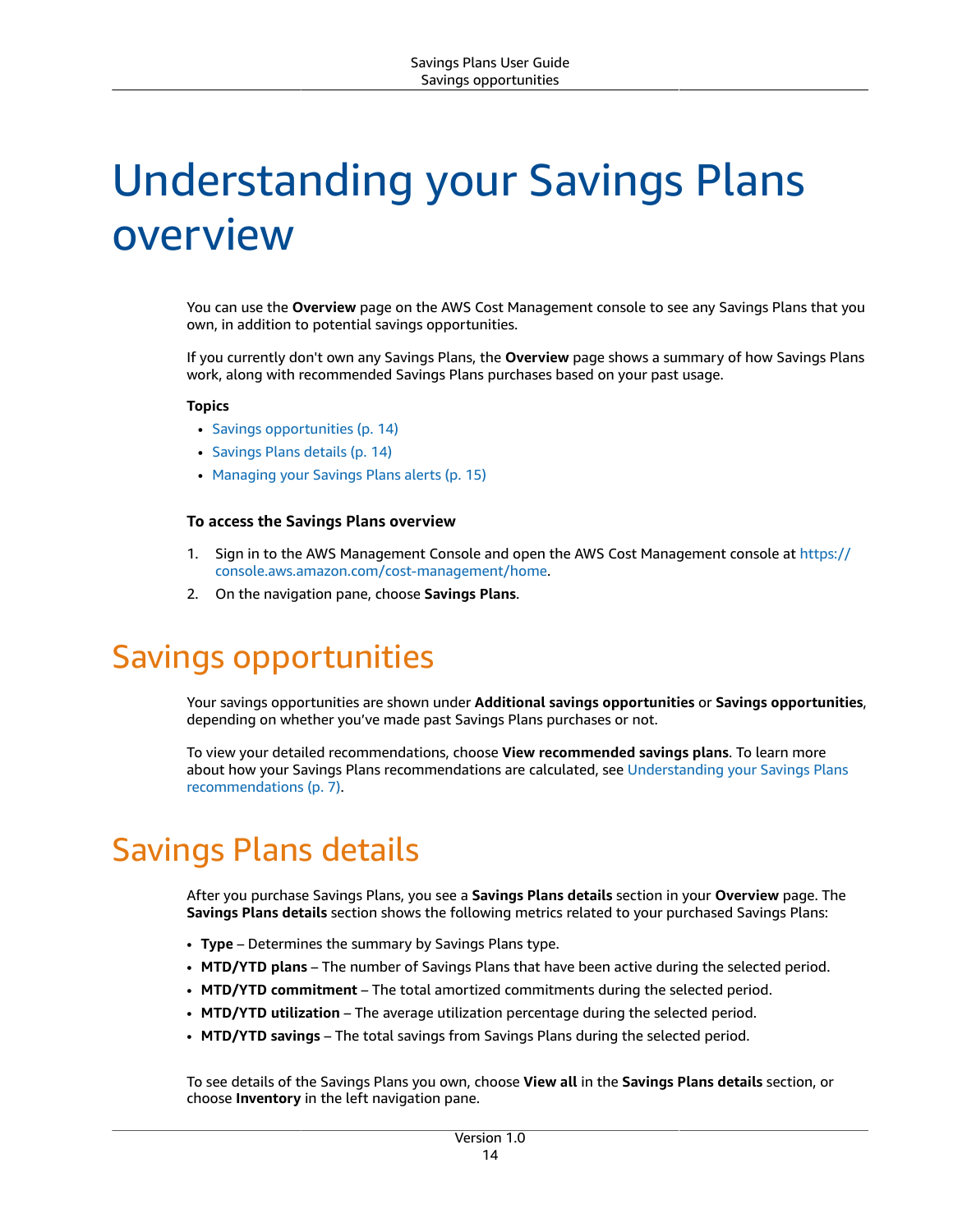# <span id="page-17-0"></span>Understanding your Savings Plans overview

You can use the **Overview** page on the AWS Cost Management console to see any Savings Plans that you own, in addition to potential savings opportunities.

If you currently don't own any Savings Plans, the **Overview** page shows a summary of how Savings Plans work, along with recommended Savings Plans purchases based on your past usage.

#### **Topics**

- Savings [opportunities \(p. 14\)](#page-17-1)
- Savings Plans [details \(p. 14\)](#page-17-2)
- Managing your Savings Plans [alerts \(p. 15\)](#page-18-0)

#### **To access the Savings Plans overview**

- 1. Sign in to the AWS Management Console and open the AWS Cost Management console at [https://](https://console.aws.amazon.com/cost-management/home) [console.aws.amazon.com/cost-management/home.](https://console.aws.amazon.com/cost-management/home)
- 2. On the navigation pane, choose **Savings Plans**.

### <span id="page-17-1"></span>Savings opportunities

Your savings opportunities are shown under **Additional savings opportunities** or **Savings opportunities**, depending on whether you've made past Savings Plans purchases or not.

To view your detailed recommendations, choose **View recommended savings plans**. To learn more about how your Savings Plans recommendations are calculated, see [Understanding](#page-10-0) your Savings Plans [recommendations \(p. 7\).](#page-10-0)

## <span id="page-17-2"></span>Savings Plans details

After you purchase Savings Plans, you see a **Savings Plans details** section in your **Overview** page. The **Savings Plans details** section shows the following metrics related to your purchased Savings Plans:

- **Type** Determines the summary by Savings Plans type.
- **MTD/YTD plans** The number of Savings Plans that have been active during the selected period.
- **MTD/YTD commitment** The total amortized commitments during the selected period.
- **MTD/YTD utilization** The average utilization percentage during the selected period.
- **MTD/YTD savings** The total savings from Savings Plans during the selected period.

To see details of the Savings Plans you own, choose **View all** in the **Savings Plans details** section, or choose **Inventory** in the left navigation pane.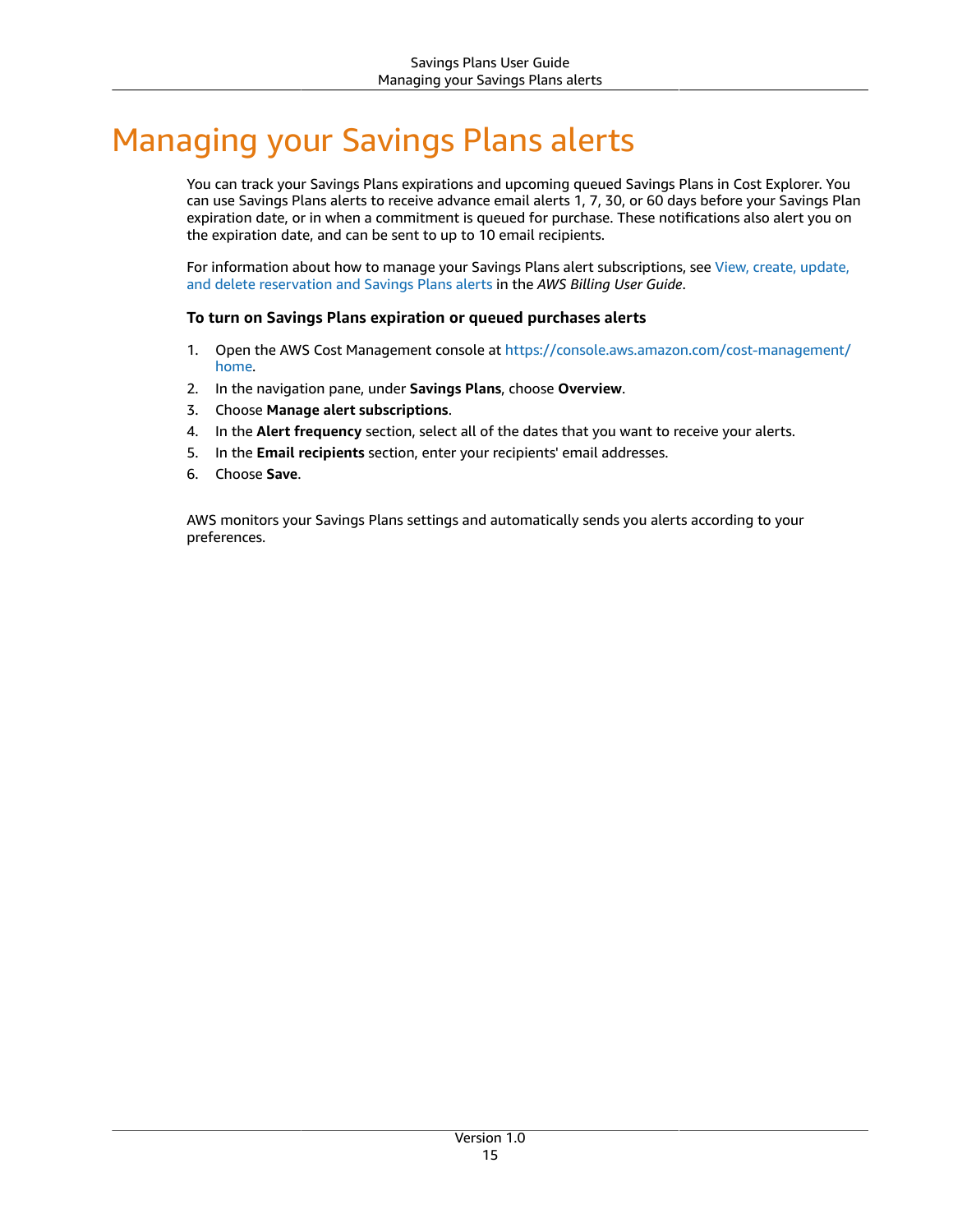# <span id="page-18-0"></span>Managing your Savings Plans alerts

You can track your Savings Plans expirations and upcoming queued Savings Plans in Cost Explorer. You can use Savings Plans alerts to receive advance email alerts 1, 7, 30, or 60 days before your Savings Plan expiration date, or in when a commitment is queued for purchase. These notifications also alert you on the expiration date, and can be sent to up to 10 email recipients.

For information about how to manage your Savings Plans alert subscriptions, see View, create, [update,](https://docs.aws.amazon.com/awsaccountbilling/latest/aboutv2/billing-example-policies.html) and delete [reservation](https://docs.aws.amazon.com/awsaccountbilling/latest/aboutv2/billing-example-policies.html) and Savings Plans alerts in the *AWS Billing User Guide*.

#### **To turn on Savings Plans expiration or queued purchases alerts**

- 1. Open the AWS Cost Management console at [https://console.aws.amazon.com/cost-management/](https://console.aws.amazon.com/cost-management/home) [home](https://console.aws.amazon.com/cost-management/home).
- 2. In the navigation pane, under **Savings Plans**, choose **Overview**.
- 3. Choose **Manage alert subscriptions**.
- 4. In the **Alert frequency** section, select all of the dates that you want to receive your alerts.
- 5. In the **Email recipients** section, enter your recipients' email addresses.
- 6. Choose **Save**.

AWS monitors your Savings Plans settings and automatically sends you alerts according to your preferences.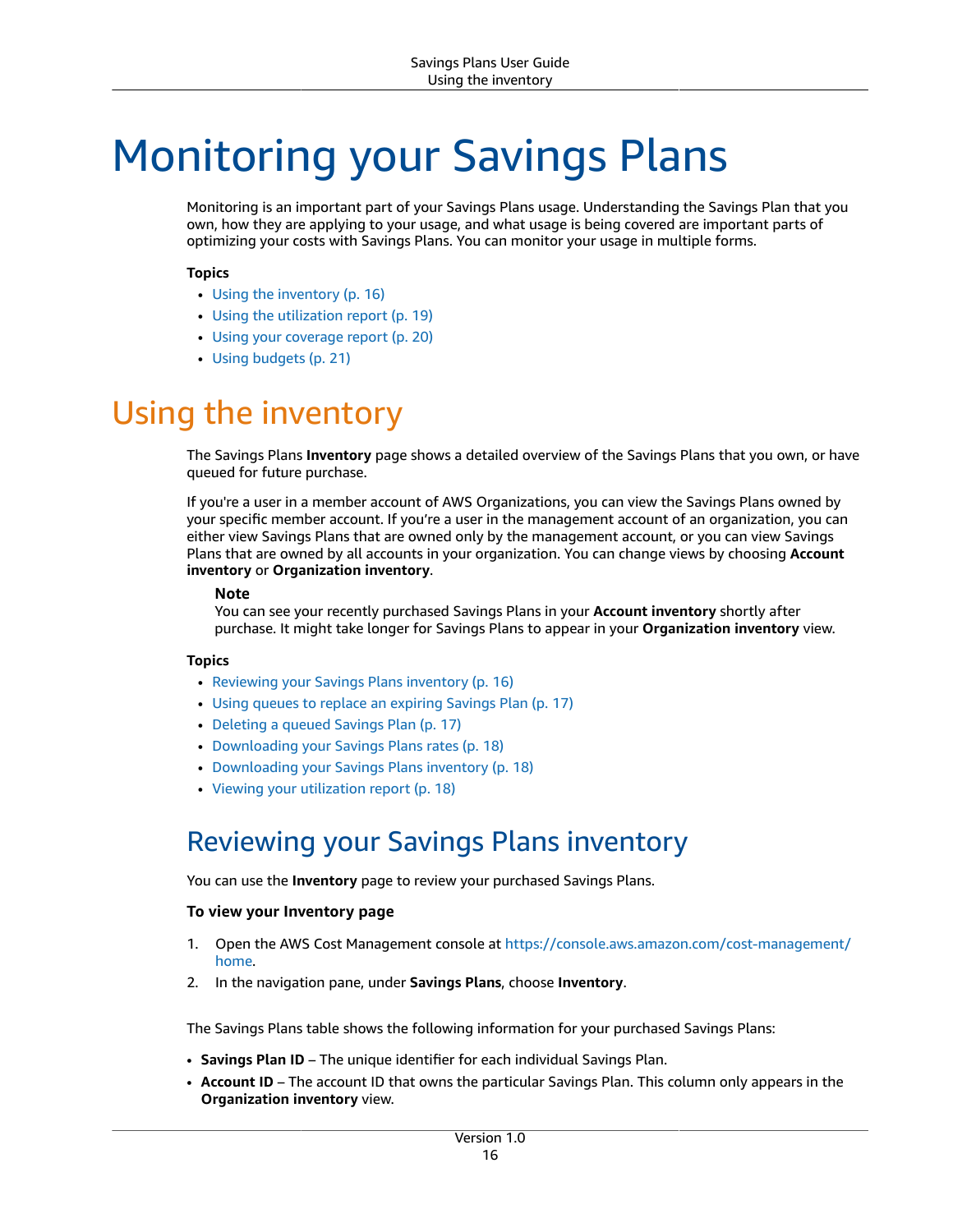# <span id="page-19-0"></span>Monitoring your Savings Plans

Monitoring is an important part of your Savings Plans usage. Understanding the Savings Plan that you own, how they are applying to your usage, and what usage is being covered are important parts of optimizing your costs with Savings Plans. You can monitor your usage in multiple forms.

#### **Topics**

- Using the [inventory \(p. 16\)](#page-19-1)
- Using the utilization [report \(p. 19\)](#page-22-0)
- Using your coverage [report \(p. 20\)](#page-23-0)
- [Using budgets \(p. 21\)](#page-24-0)

# <span id="page-19-1"></span>Using the inventory

The Savings Plans **Inventory** page shows a detailed overview of the Savings Plans that you own, or have queued for future purchase.

If you're a user in a member account of AWS Organizations, you can view the Savings Plans owned by your specific member account. If you're a user in the management account of an organization, you can either view Savings Plans that are owned only by the management account, or you can view Savings Plans that are owned by all accounts in your organization. You can change views by choosing **Account inventory** or **Organization inventory**.

#### **Note**

You can see your recently purchased Savings Plans in your **Account inventory** shortly after purchase. It might take longer for Savings Plans to appear in your **Organization inventory** view.

#### **Topics**

- Reviewing your Savings Plans [inventory \(p. 16\)](#page-19-2)
- Using queues to replace an expiring Savings [Plan \(p. 17\)](#page-20-0)
- Deleting a queued Savings [Plan \(p. 17\)](#page-20-1)
- [Downloading](#page-21-0) your Savings Plans rates (p. 18)
- Downloading your Savings Plans [inventory \(p. 18\)](#page-21-1)
- Viewing your utilization [report \(p. 18\)](#page-21-2)

### <span id="page-19-2"></span>Reviewing your Savings Plans inventory

You can use the **Inventory** page to review your purchased Savings Plans.

#### **To view your Inventory page**

- 1. Open the AWS Cost Management console at [https://console.aws.amazon.com/cost-management/](https://console.aws.amazon.com/cost-management/home) [home](https://console.aws.amazon.com/cost-management/home).
- 2. In the navigation pane, under **Savings Plans**, choose **Inventory**.

The Savings Plans table shows the following information for your purchased Savings Plans:

- **Savings Plan ID** The unique identifier for each individual Savings Plan.
- **Account ID** The account ID that owns the particular Savings Plan. This column only appears in the **Organization inventory** view.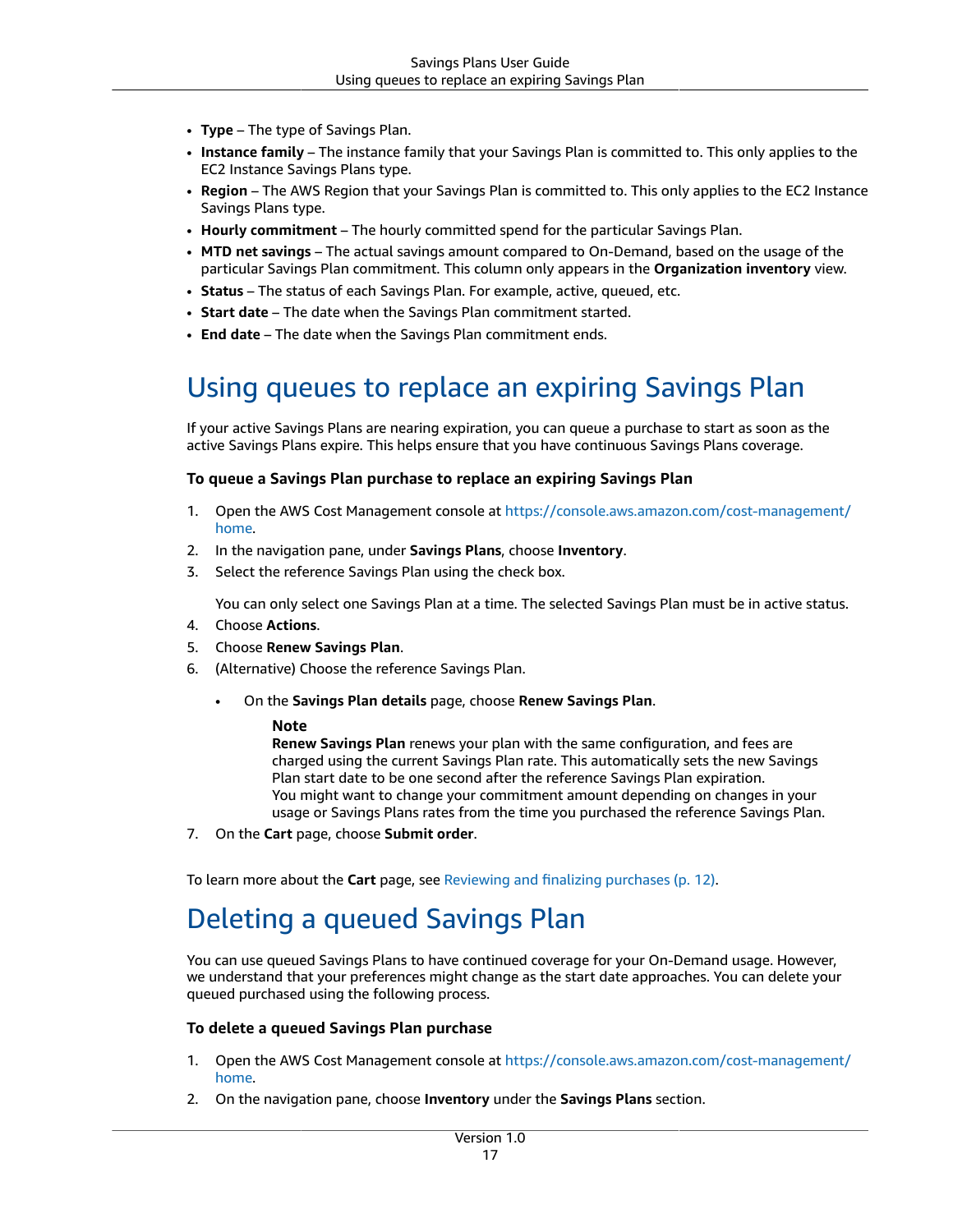- **Type** The type of Savings Plan.
- **Instance family** The instance family that your Savings Plan is committed to. This only applies to the EC2 Instance Savings Plans type.
- **Region** The AWS Region that your Savings Plan is committed to. This only applies to the EC2 Instance Savings Plans type.
- **Hourly commitment** The hourly committed spend for the particular Savings Plan.
- **MTD net savings** The actual savings amount compared to On-Demand, based on the usage of the particular Savings Plan commitment. This column only appears in the **Organization inventory** view.
- **Status** The status of each Savings Plan. For example, active, queued, etc.
- **Start date** The date when the Savings Plan commitment started.
- **End date** The date when the Savings Plan commitment ends.

### <span id="page-20-0"></span>Using queues to replace an expiring Savings Plan

If your active Savings Plans are nearing expiration, you can queue a purchase to start as soon as the active Savings Plans expire. This helps ensure that you have continuous Savings Plans coverage.

#### **To queue a Savings Plan purchase to replace an expiring Savings Plan**

- 1. Open the AWS Cost Management console at [https://console.aws.amazon.com/cost-management/](https://console.aws.amazon.com/cost-management/home) [home](https://console.aws.amazon.com/cost-management/home).
- 2. In the navigation pane, under **Savings Plans**, choose **Inventory**.
- 3. Select the reference Savings Plan using the check box.

You can only select one Savings Plan at a time. The selected Savings Plan must be in active status.

- 4. Choose **Actions**.
- 5. Choose **Renew Savings Plan**.
- 6. (Alternative) Choose the reference Savings Plan.
	- On the **Savings Plan details** page, choose **Renew Savings Plan**.

#### **Note**

**Renew Savings Plan** renews your plan with the same configuration, and fees are charged using the current Savings Plan rate. This automatically sets the new Savings Plan start date to be one second after the reference Savings Plan expiration. You might want to change your commitment amount depending on changes in your usage or Savings Plans rates from the time you purchased the reference Savings Plan.

7. On the **Cart** page, choose **Submit order**.

<span id="page-20-1"></span>To learn more about the **Cart** page, see [Reviewing](#page-15-0) and finalizing purchases [\(p. 12\).](#page-15-0)

### Deleting a queued Savings Plan

You can use queued Savings Plans to have continued coverage for your On-Demand usage. However, we understand that your preferences might change as the start date approaches. You can delete your queued purchased using the following process.

#### **To delete a queued Savings Plan purchase**

- 1. Open the AWS Cost Management console at [https://console.aws.amazon.com/cost-management/](https://console.aws.amazon.com/cost-management/home) [home](https://console.aws.amazon.com/cost-management/home).
- 2. On the navigation pane, choose **Inventory** under the **Savings Plans** section.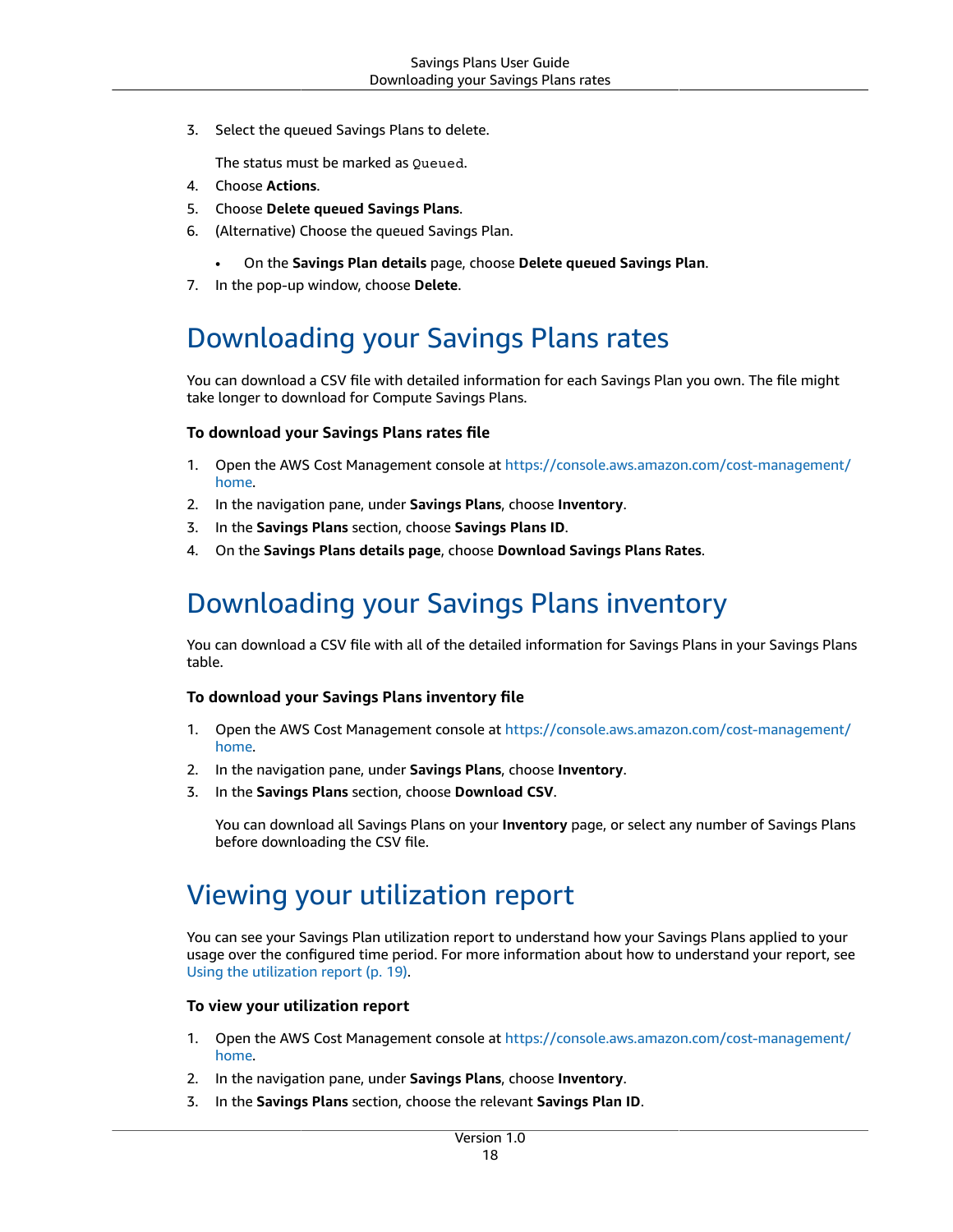3. Select the queued Savings Plans to delete.

The status must be marked as Queued.

- 4. Choose **Actions**.
- 5. Choose **Delete queued Savings Plans**.
- 6. (Alternative) Choose the queued Savings Plan.
	- On the **Savings Plan details** page, choose **Delete queued Savings Plan**.
- 7. In the pop-up window, choose **Delete**.

### <span id="page-21-0"></span>Downloading your Savings Plans rates

You can download a CSV file with detailed information for each Savings Plan you own. The file might take longer to download for Compute Savings Plans.

#### **To download your Savings Plans rates file**

- 1. Open the AWS Cost Management console at [https://console.aws.amazon.com/cost-management/](https://console.aws.amazon.com/cost-management/home) [home](https://console.aws.amazon.com/cost-management/home).
- 2. In the navigation pane, under **Savings Plans**, choose **Inventory**.
- 3. In the **Savings Plans** section, choose **Savings Plans ID**.
- 4. On the **Savings Plans details page**, choose **Download Savings Plans Rates**.

### <span id="page-21-1"></span>Downloading your Savings Plans inventory

You can download a CSV file with all of the detailed information for Savings Plans in your Savings Plans table.

#### **To download your Savings Plans inventory file**

- 1. Open the AWS Cost Management console at [https://console.aws.amazon.com/cost-management/](https://console.aws.amazon.com/cost-management/home) [home](https://console.aws.amazon.com/cost-management/home).
- 2. In the navigation pane, under **Savings Plans**, choose **Inventory**.
- 3. In the **Savings Plans** section, choose **Download CSV**.

You can download all Savings Plans on your **Inventory** page, or select any number of Savings Plans before downloading the CSV file.

### <span id="page-21-2"></span>Viewing your utilization report

You can see your Savings Plan utilization report to understand how your Savings Plans applied to your usage over the configured time period. For more information about how to understand your report, see Using the [utilization](#page-22-0) report [\(p. 19\).](#page-22-0)

#### **To view your utilization report**

- 1. Open the AWS Cost Management console at [https://console.aws.amazon.com/cost-management/](https://console.aws.amazon.com/cost-management/home) [home](https://console.aws.amazon.com/cost-management/home).
- 2. In the navigation pane, under **Savings Plans**, choose **Inventory**.
- 3. In the **Savings Plans** section, choose the relevant **Savings Plan ID**.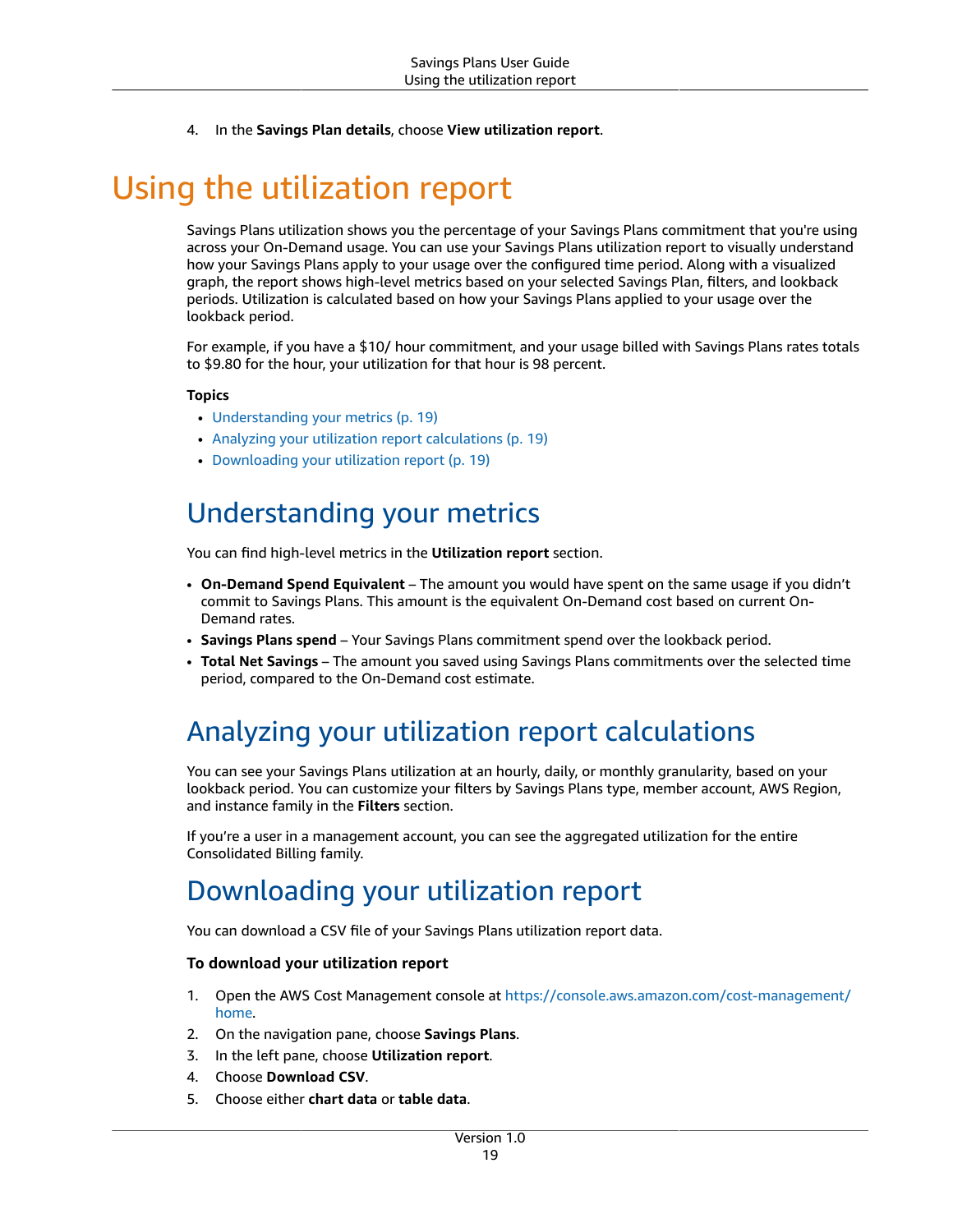4. In the **Savings Plan details**, choose **View utilization report**.

# <span id="page-22-0"></span>Using the utilization report

Savings Plans utilization shows you the percentage of your Savings Plans commitment that you're using across your On-Demand usage. You can use your Savings Plans utilization report to visually understand how your Savings Plans apply to your usage over the configured time period. Along with a visualized graph, the report shows high-level metrics based on your selected Savings Plan, filters, and lookback periods. Utilization is calculated based on how your Savings Plans applied to your usage over the lookback period.

For example, if you have a \$10/ hour commitment, and your usage billed with Savings Plans rates totals to \$9.80 for the hour, your utilization for that hour is 98 percent.

#### **Topics**

- [Understanding](#page-22-1) your metrics (p. 19)
- Analyzing your utilization report [calculations \(p. 19\)](#page-22-2)
- [Downloading](#page-22-3) your utilization report (p. 19)

### <span id="page-22-1"></span>Understanding your metrics

You can find high-level metrics in the **Utilization report** section.

- **On-Demand Spend Equivalent** The amount you would have spent on the same usage if you didn't commit to Savings Plans. This amount is the equivalent On-Demand cost based on current On-Demand rates.
- **Savings Plans spend** Your Savings Plans commitment spend over the lookback period.
- **Total Net Savings** The amount you saved using Savings Plans commitments over the selected time period, compared to the On-Demand cost estimate.

### <span id="page-22-2"></span>Analyzing your utilization report calculations

You can see your Savings Plans utilization at an hourly, daily, or monthly granularity, based on your lookback period. You can customize your filters by Savings Plans type, member account, AWS Region, and instance family in the **Filters** section.

If you're a user in a management account, you can see the aggregated utilization for the entire Consolidated Billing family.

### <span id="page-22-3"></span>Downloading your utilization report

You can download a CSV file of your Savings Plans utilization report data.

#### **To download your utilization report**

- 1. Open the AWS Cost Management console at [https://console.aws.amazon.com/cost-management/](https://console.aws.amazon.com/cost-management/home) [home](https://console.aws.amazon.com/cost-management/home).
- 2. On the navigation pane, choose **Savings Plans**.
- 3. In the left pane, choose **Utilization report**.
- 4. Choose **Download CSV**.
- 5. Choose either **chart data** or **table data**.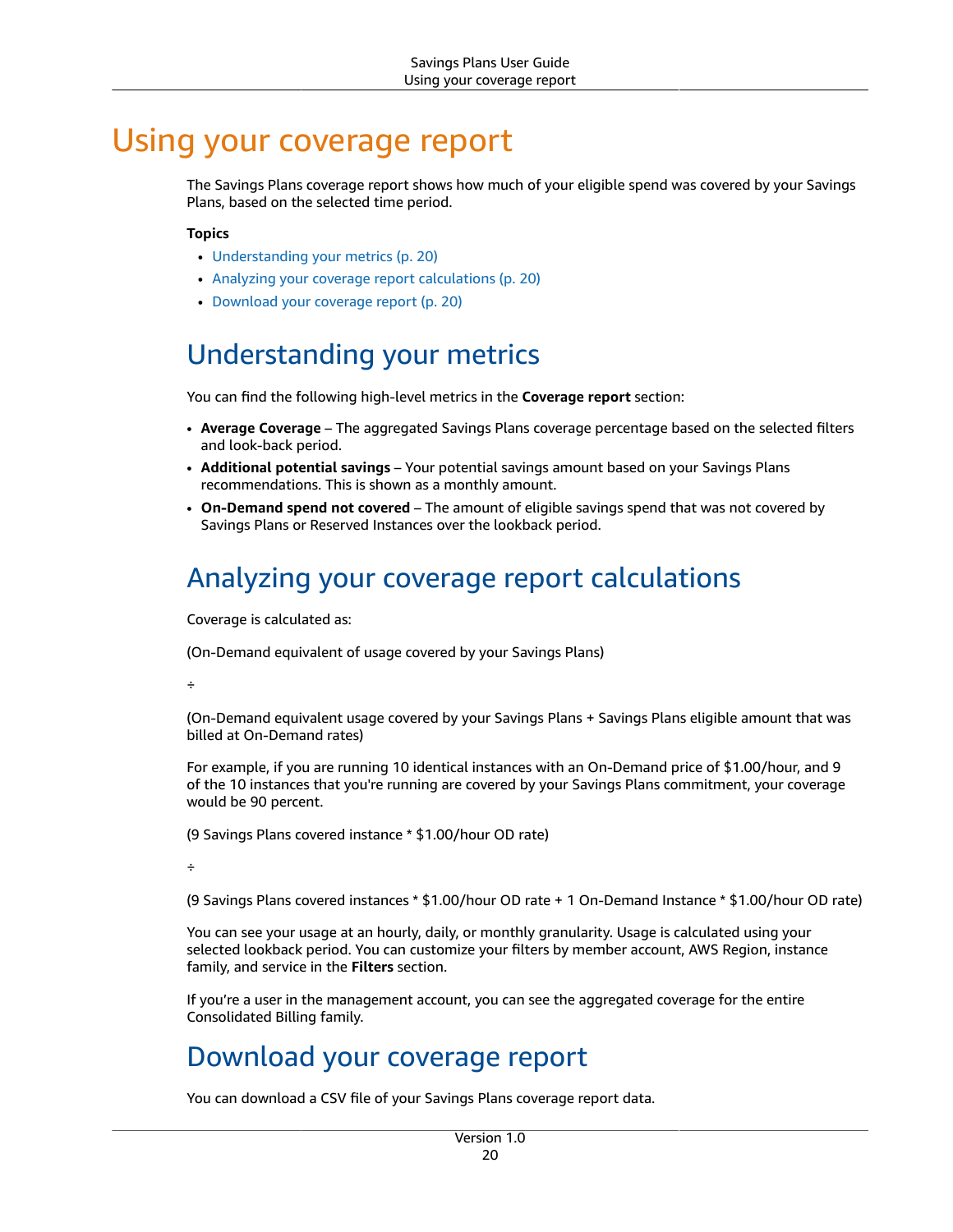## <span id="page-23-0"></span>Using your coverage report

The Savings Plans coverage report shows how much of your eligible spend was covered by your Savings Plans, based on the selected time period.

#### **Topics**

- [Understanding](#page-23-1) your metrics (p. 20)
- Analyzing your coverage report [calculations \(p. 20\)](#page-23-2)
- Download your coverage [report \(p. 20\)](#page-23-3)

### <span id="page-23-1"></span>Understanding your metrics

You can find the following high-level metrics in the **Coverage report** section:

- **Average Coverage** The aggregated Savings Plans coverage percentage based on the selected filters and look-back period.
- **Additional potential savings** Your potential savings amount based on your Savings Plans recommendations. This is shown as a monthly amount.
- **On-Demand spend not covered** The amount of eligible savings spend that was not covered by Savings Plans or Reserved Instances over the lookback period.

### <span id="page-23-2"></span>Analyzing your coverage report calculations

Coverage is calculated as:

(On-Demand equivalent of usage covered by your Savings Plans)

÷

(On-Demand equivalent usage covered by your Savings Plans + Savings Plans eligible amount that was billed at On-Demand rates)

For example, if you are running 10 identical instances with an On-Demand price of \$1.00/hour, and 9 of the 10 instances that you're running are covered by your Savings Plans commitment, your coverage would be 90 percent.

(9 Savings Plans covered instance \* \$1.00/hour OD rate)

÷

(9 Savings Plans covered instances \* \$1.00/hour OD rate + 1 On-Demand Instance \* \$1.00/hour OD rate)

You can see your usage at an hourly, daily, or monthly granularity. Usage is calculated using your selected lookback period. You can customize your filters by member account, AWS Region, instance family, and service in the **Filters** section.

If you're a user in the management account, you can see the aggregated coverage for the entire Consolidated Billing family.

### <span id="page-23-3"></span>Download your coverage report

You can download a CSV file of your Savings Plans coverage report data.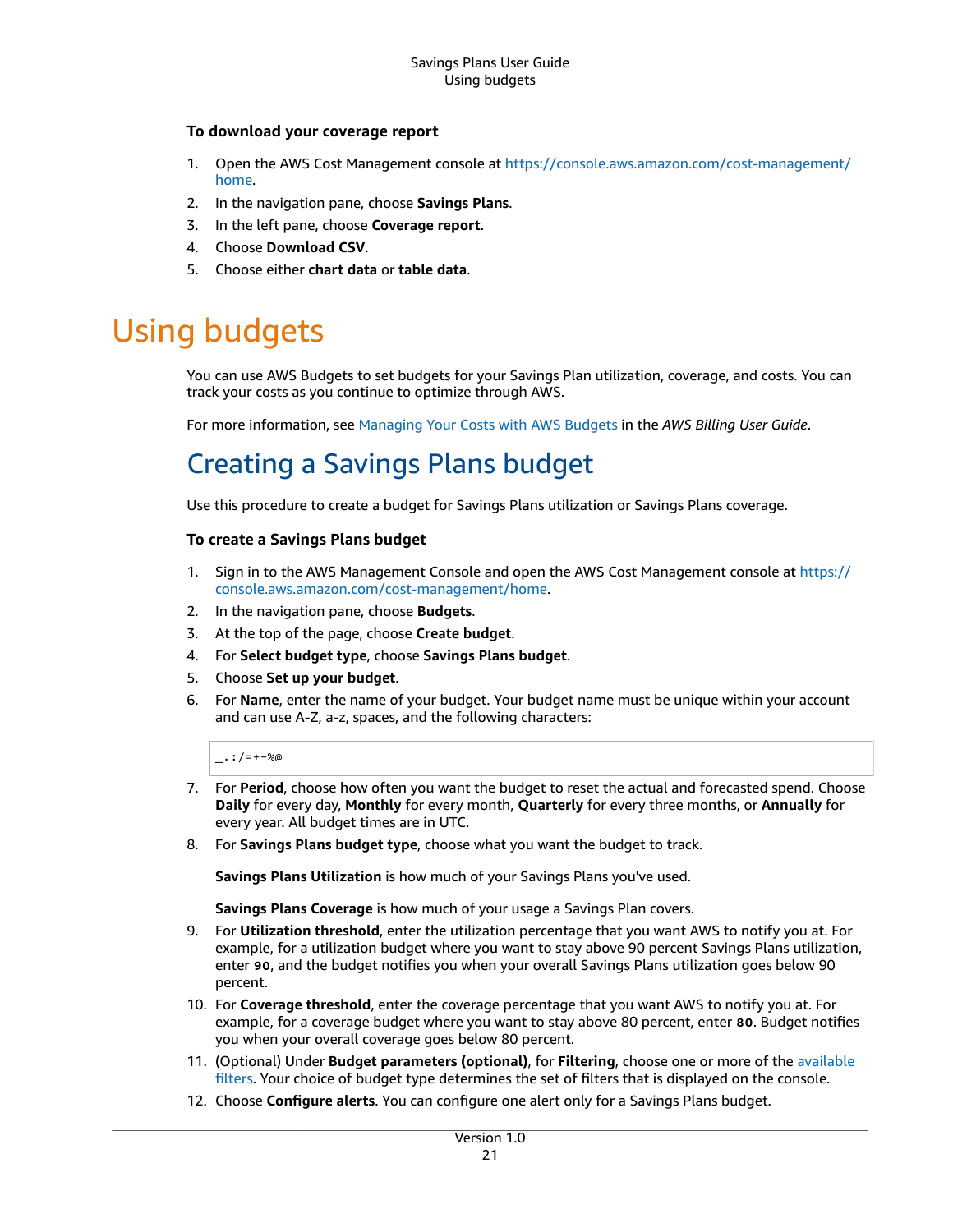#### **To download your coverage report**

- 1. Open the AWS Cost Management console at [https://console.aws.amazon.com/cost-management/](https://console.aws.amazon.com/cost-management/home) [home](https://console.aws.amazon.com/cost-management/home).
- 2. In the navigation pane, choose **Savings Plans**.
- 3. In the left pane, choose **Coverage report**.
- 4. Choose **Download CSV**.
- 5. Choose either **chart data** or **table data**.

# <span id="page-24-0"></span>Using budgets

You can use AWS Budgets to set budgets for your Savings Plan utilization, coverage, and costs. You can track your costs as you continue to optimize through AWS.

For more information, see [Managing](https://docs.aws.amazon.com/awsaccountbilling/latest/aboutv2/budgets-managing-costs.html) Your Costs with AWS Budgets in the *AWS Billing User Guide*.

### <span id="page-24-1"></span>Creating a Savings Plans budget

Use this procedure to create a budget for Savings Plans utilization or Savings Plans coverage.

#### **To create a Savings Plans budget**

- 1. Sign in to the AWS Management Console and open the AWS Cost Management console at [https://](https://console.aws.amazon.com/cost-management/home) [console.aws.amazon.com/cost-management/home.](https://console.aws.amazon.com/cost-management/home)
- 2. In the navigation pane, choose **Budgets**.
- 3. At the top of the page, choose **Create budget**.
- 4. For **Select budget type**, choose **Savings Plans budget**.
- 5. Choose **Set up your budget**.
- 6. For **Name**, enter the name of your budget. Your budget name must be unique within your account and can use A-Z, a-z, spaces, and the following characters:

 $\ldots$  : /=+-%@

- 7. For **Period**, choose how often you want the budget to reset the actual and forecasted spend. Choose **Daily** for every day, **Monthly** for every month, **Quarterly** for every three months, or **Annually** for every year. All budget times are in UTC.
- 8. For **Savings Plans budget type**, choose what you want the budget to track.

**Savings Plans Utilization** is how much of your Savings Plans you've used.

**Savings Plans Coverage** is how much of your usage a Savings Plan covers.

- 9. For **Utilization threshold**, enter the utilization percentage that you want AWS to notify you at. For example, for a utilization budget where you want to stay above 90 percent Savings Plans utilization, enter **90**, and the budget notifies you when your overall Savings Plans utilization goes below 90 percent.
- 10. For **Coverage threshold**, enter the coverage percentage that you want AWS to notify you at. For example, for a coverage budget where you want to stay above 80 percent, enter **80**. Budget notifies you when your overall coverage goes below 80 percent.
- 11. (Optional) Under **Budget parameters (optional)**, for **Filtering**, choose one or more of the [available](https://docs.aws.amazon.com/awsaccountbilling/latest/aboutv2/budgets-create-filters.html) [filters.](https://docs.aws.amazon.com/awsaccountbilling/latest/aboutv2/budgets-create-filters.html) Your choice of budget type determines the set of filters that is displayed on the console.
- 12. Choose **Configure alerts**. You can configure one alert only for a Savings Plans budget.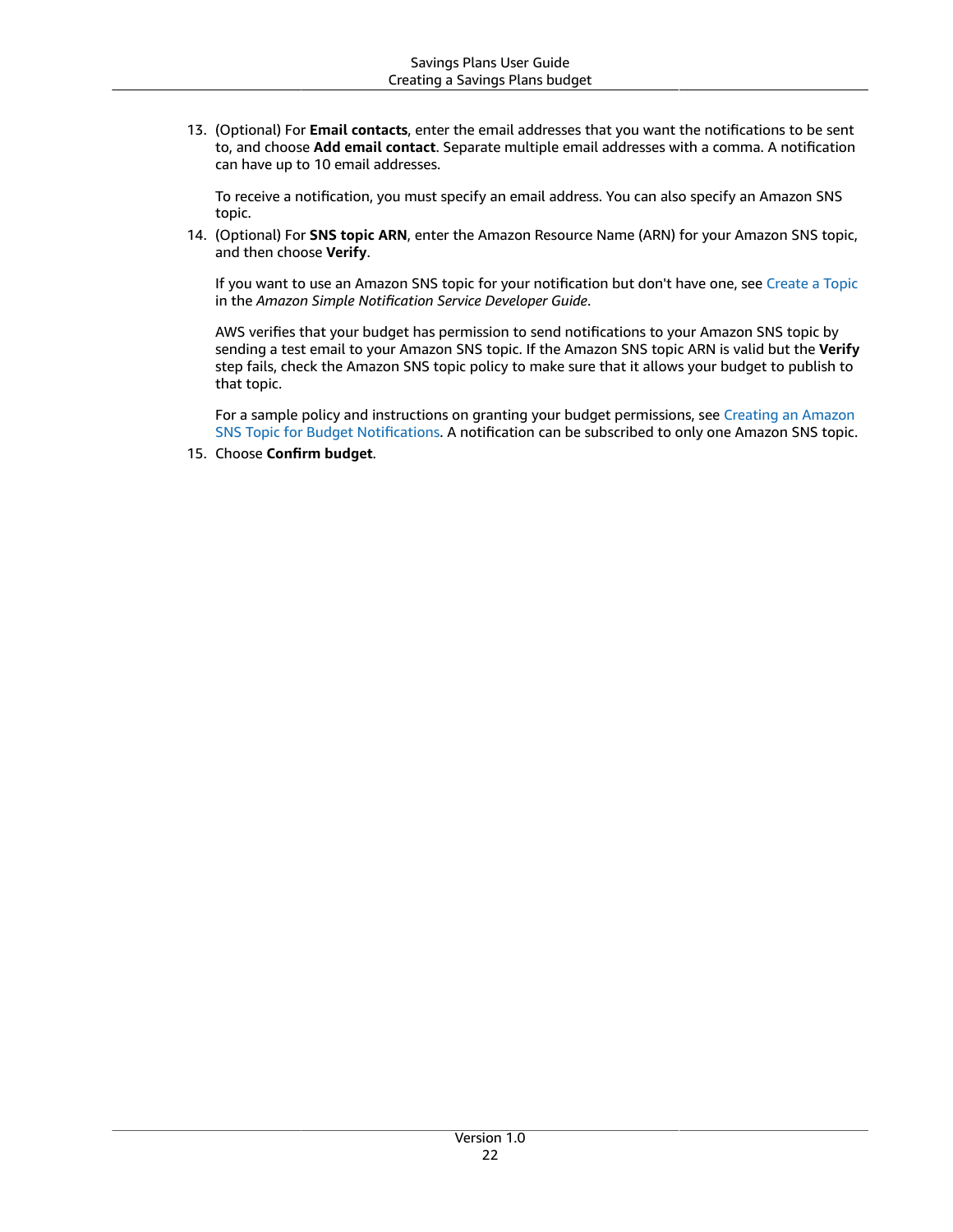13. (Optional) For **Email contacts**, enter the email addresses that you want the notifications to be sent to, and choose **Add email contact**. Separate multiple email addresses with a comma. A notification can have up to 10 email addresses.

To receive a notification, you must specify an email address. You can also specify an Amazon SNS topic.

14. (Optional) For **SNS topic ARN**, enter the Amazon Resource Name (ARN) for your Amazon SNS topic, and then choose **Verify**.

If you want to use an Amazon SNS topic for your notification but don't have one, see [Create](https://docs.aws.amazon.com/sns/latest/dg/CreateTopic.html) a Topic in the *Amazon Simple Notification Service Developer Guide*.

AWS verifies that your budget has permission to send notifications to your Amazon SNS topic by sending a test email to your Amazon SNS topic. If the Amazon SNS topic ARN is valid but the **Verify** step fails, check the Amazon SNS topic policy to make sure that it allows your budget to publish to that topic.

For a sample policy and instructions on granting your budget permissions, see [Creating](https://docs.aws.amazon.com/awsaccountbilling/latest/aboutv2/budgets-sns-policy.html) an Amazon SNS Topic for Budget [Notifications.](https://docs.aws.amazon.com/awsaccountbilling/latest/aboutv2/budgets-sns-policy.html) A notification can be subscribed to only one Amazon SNS topic.

15. Choose **Confirm budget**.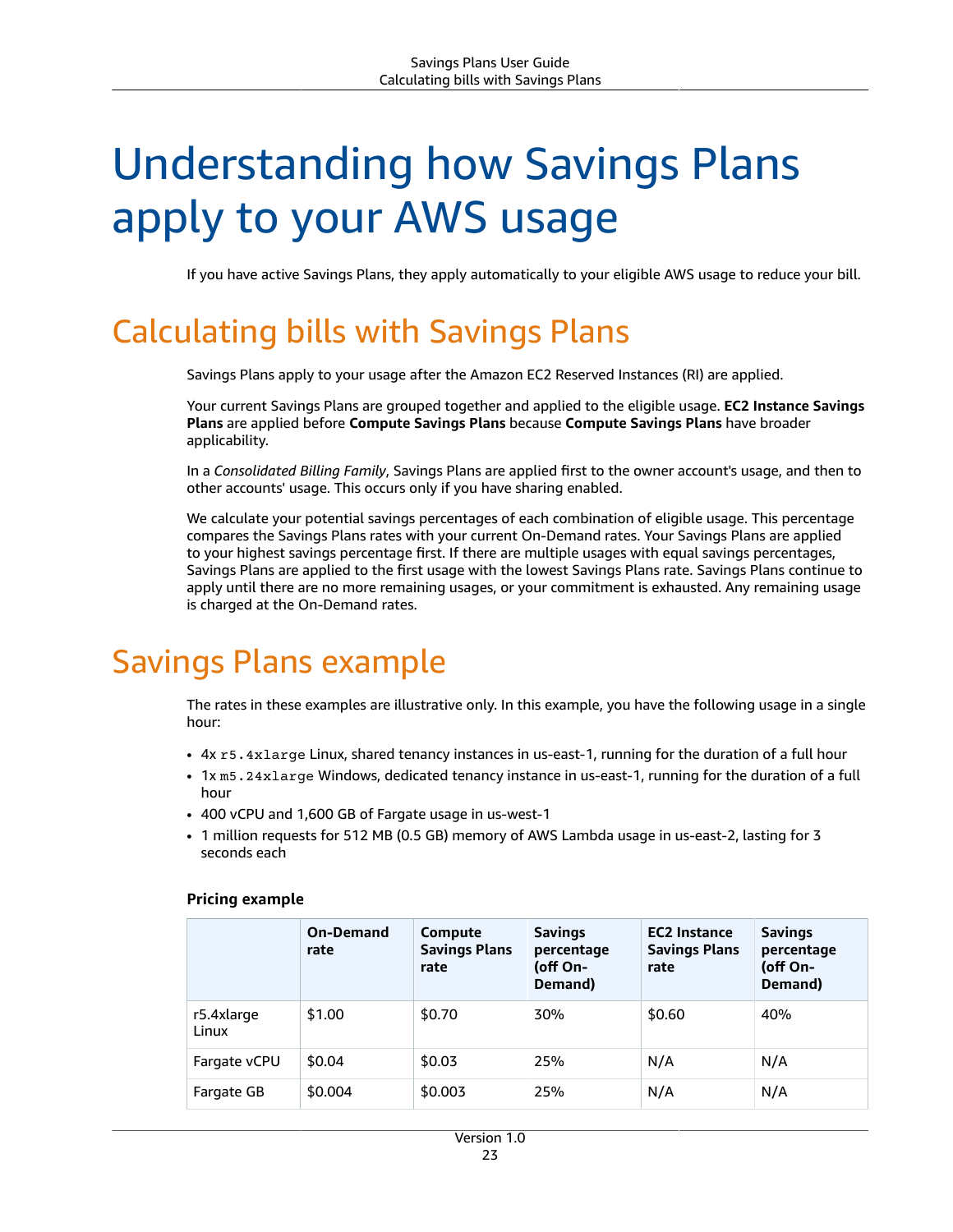# <span id="page-26-0"></span>Understanding how Savings Plans apply to your AWS usage

If you have active Savings Plans, they apply automatically to your eligible AWS usage to reduce your bill.

# <span id="page-26-1"></span>Calculating bills with Savings Plans

Savings Plans apply to your usage after the Amazon EC2 Reserved Instances (RI) are applied.

Your current Savings Plans are grouped together and applied to the eligible usage. **EC2 Instance Savings Plans** are applied before **Compute Savings Plans** because **Compute Savings Plans** have broader applicability.

In a *Consolidated Billing Family*, Savings Plans are applied first to the owner account's usage, and then to other accounts' usage. This occurs only if you have sharing enabled.

We calculate your potential savings percentages of each combination of eligible usage. This percentage compares the Savings Plans rates with your current On-Demand rates. Your Savings Plans are applied to your highest savings percentage first. If there are multiple usages with equal savings percentages, Savings Plans are applied to the first usage with the lowest Savings Plans rate. Savings Plans continue to apply until there are no more remaining usages, or your commitment is exhausted. Any remaining usage is charged at the On-Demand rates.

## <span id="page-26-2"></span>Savings Plans example

The rates in these examples are illustrative only. In this example, you have the following usage in a single hour:

- 4x r5.4xlarge Linux, shared tenancy instances in us-east-1, running for the duration of a full hour
- 1x m5.24xlarge Windows, dedicated tenancy instance in us-east-1, running for the duration of a full hour
- 400 vCPU and 1,600 GB of Fargate usage in us-west-1
- 1 million requests for 512 MB (0.5 GB) memory of AWS Lambda usage in us-east-2, lasting for 3 seconds each

|                     | <b>On-Demand</b><br>rate | Compute<br><b>Savings Plans</b><br>rate | <b>Savings</b><br>percentage<br>(off On-<br>Demand) | <b>EC2 Instance</b><br><b>Savings Plans</b><br>rate | <b>Savings</b><br>percentage<br>(off On-<br>Demand) |
|---------------------|--------------------------|-----------------------------------------|-----------------------------------------------------|-----------------------------------------------------|-----------------------------------------------------|
| r5.4xlarge<br>Linux | \$1.00                   | \$0.70                                  | 30%                                                 | \$0.60                                              | 40%                                                 |
| Fargate vCPU        | \$0.04                   | \$0.03                                  | 25%                                                 | N/A                                                 | N/A                                                 |
| Fargate GB          | \$0.004                  | \$0.003                                 | 25%                                                 | N/A                                                 | N/A                                                 |

#### **Pricing example**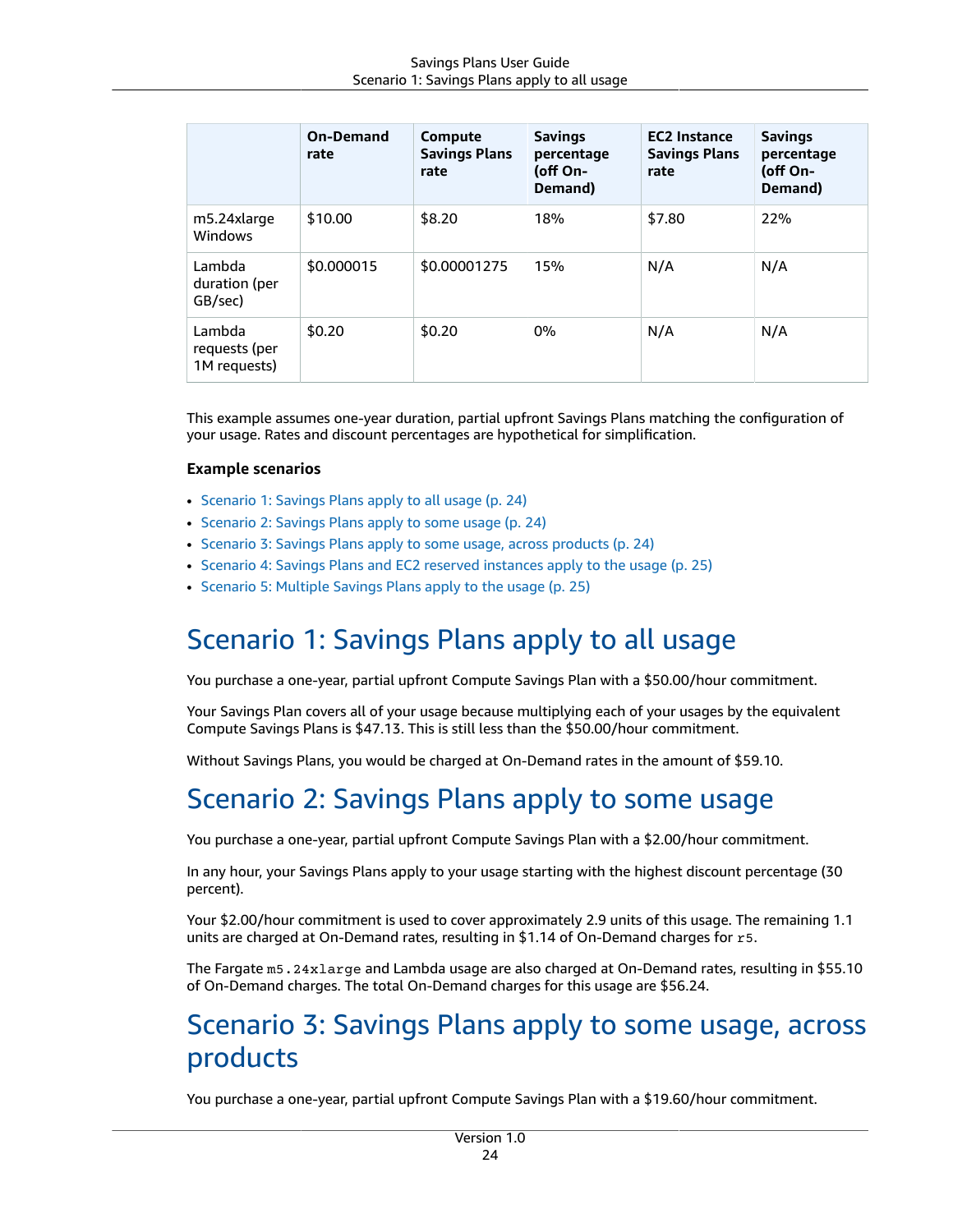|                                         | <b>On-Demand</b><br>rate | Compute<br><b>Savings Plans</b><br>rate | <b>Savings</b><br>percentage<br>(off On-<br>Demand) | <b>EC2 Instance</b><br><b>Savings Plans</b><br>rate | <b>Savings</b><br>percentage<br>(off On-<br>Demand) |
|-----------------------------------------|--------------------------|-----------------------------------------|-----------------------------------------------------|-----------------------------------------------------|-----------------------------------------------------|
| m5.24xlarge<br><b>Windows</b>           | \$10.00                  | \$8.20                                  | 18%                                                 | \$7.80                                              | 22%                                                 |
| Lambda<br>duration (per<br>GB/sec)      | \$0.000015               | \$0.00001275                            | 15%                                                 | N/A                                                 | N/A                                                 |
| Lambda<br>requests (per<br>1M requests) | \$0.20                   | \$0.20                                  | 0%                                                  | N/A                                                 | N/A                                                 |

This example assumes one-year duration, partial upfront Savings Plans matching the configuration of your usage. Rates and discount percentages are hypothetical for simplification.

#### **Example scenarios**

- [Scenario](#page-27-0) 1: Savings Plans apply to all usage [\(p. 24\)](#page-27-0)
- [Scenario](#page-27-1) 2: Savings Plans apply to some usag[e \(p. 24\)](#page-27-1)
- Scenario 3: Savings Plans apply to some usage, across [products \(p. 24\)](#page-27-2)
- Scenario 4: Savings Plans and EC2 reserved [instances](#page-28-0) apply to the usage [\(p. 25\)](#page-28-0)
- [Scenario](#page-28-1) 5: Multiple Savings Plans apply to the usag[e \(p. 25\)](#page-28-1)

### <span id="page-27-0"></span>Scenario 1: Savings Plans apply to all usage

You purchase a one-year, partial upfront Compute Savings Plan with a \$50.00/hour commitment.

Your Savings Plan covers all of your usage because multiplying each of your usages by the equivalent Compute Savings Plans is \$47.13. This is still less than the \$50.00/hour commitment.

<span id="page-27-1"></span>Without Savings Plans, you would be charged at On-Demand rates in the amount of \$59.10.

### Scenario 2: Savings Plans apply to some usage

You purchase a one-year, partial upfront Compute Savings Plan with a \$2.00/hour commitment.

In any hour, your Savings Plans apply to your usage starting with the highest discount percentage (30 percent).

Your \$2.00/hour commitment is used to cover approximately 2.9 units of this usage. The remaining 1.1 units are charged at On-Demand rates, resulting in \$1.14 of On-Demand charges for r5.

The Fargate m5.24xlarge and Lambda usage are also charged at On-Demand rates, resulting in \$55.10 of On-Demand charges. The total On-Demand charges for this usage are \$56.24.

### <span id="page-27-2"></span>Scenario 3: Savings Plans apply to some usage, across products

You purchase a one-year, partial upfront Compute Savings Plan with a \$19.60/hour commitment.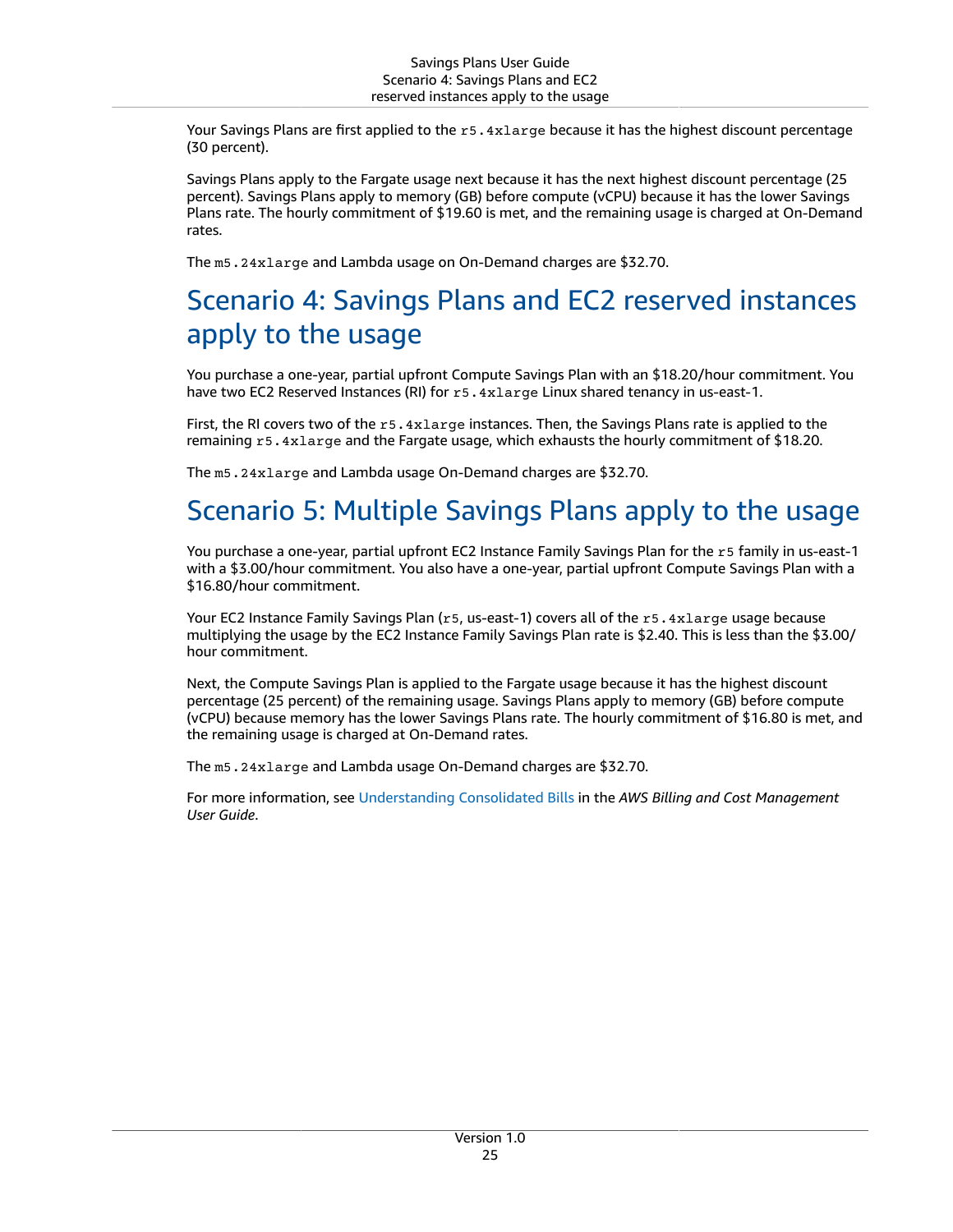Your Savings Plans are first applied to the r5.4xlarge because it has the highest discount percentage (30 percent).

Savings Plans apply to the Fargate usage next because it has the next highest discount percentage (25 percent). Savings Plans apply to memory (GB) before compute (vCPU) because it has the lower Savings Plans rate. The hourly commitment of \$19.60 is met, and the remaining usage is charged at On-Demand rates.

The m5.24xlarge and Lambda usage on On-Demand charges are \$32.70.

### <span id="page-28-0"></span>Scenario 4: Savings Plans and EC2 reserved instances apply to the usage

You purchase a one-year, partial upfront Compute Savings Plan with an \$18.20/hour commitment. You have two EC2 Reserved Instances (RI) for r5.4xlarge Linux shared tenancy in us-east-1.

First, the RI covers two of the r5.4xlarge instances. Then, the Savings Plans rate is applied to the remaining r5.4xlarge and the Fargate usage, which exhausts the hourly commitment of \$18.20.

The m5.24xlarge and Lambda usage On-Demand charges are \$32.70.

### <span id="page-28-1"></span>Scenario 5: Multiple Savings Plans apply to the usage

You purchase a one-year, partial upfront EC2 Instance Family Savings Plan for the r5 family in us-east-1 with a \$3.00/hour commitment. You also have a one-year, partial upfront Compute Savings Plan with a \$16.80/hour commitment.

Your EC2 Instance Family Savings Plan (r5, us-east-1) covers all of the r5.4xlarge usage because multiplying the usage by the EC2 Instance Family Savings Plan rate is \$2.40. This is less than the \$3.00/ hour commitment.

Next, the Compute Savings Plan is applied to the Fargate usage because it has the highest discount percentage (25 percent) of the remaining usage. Savings Plans apply to memory (GB) before compute (vCPU) because memory has the lower Savings Plans rate. The hourly commitment of \$16.80 is met, and the remaining usage is charged at On-Demand rates.

The m5.24xlarge and Lambda usage On-Demand charges are \$32.70.

For more information, see [Understanding Consolidated Bills](https://docs.aws.amazon.com/awsaccountbilling/latest/aboutv2/con-bill-blended-rates.html#cb_savingsplans) in the *AWS Billing and Cost Management User Guide*.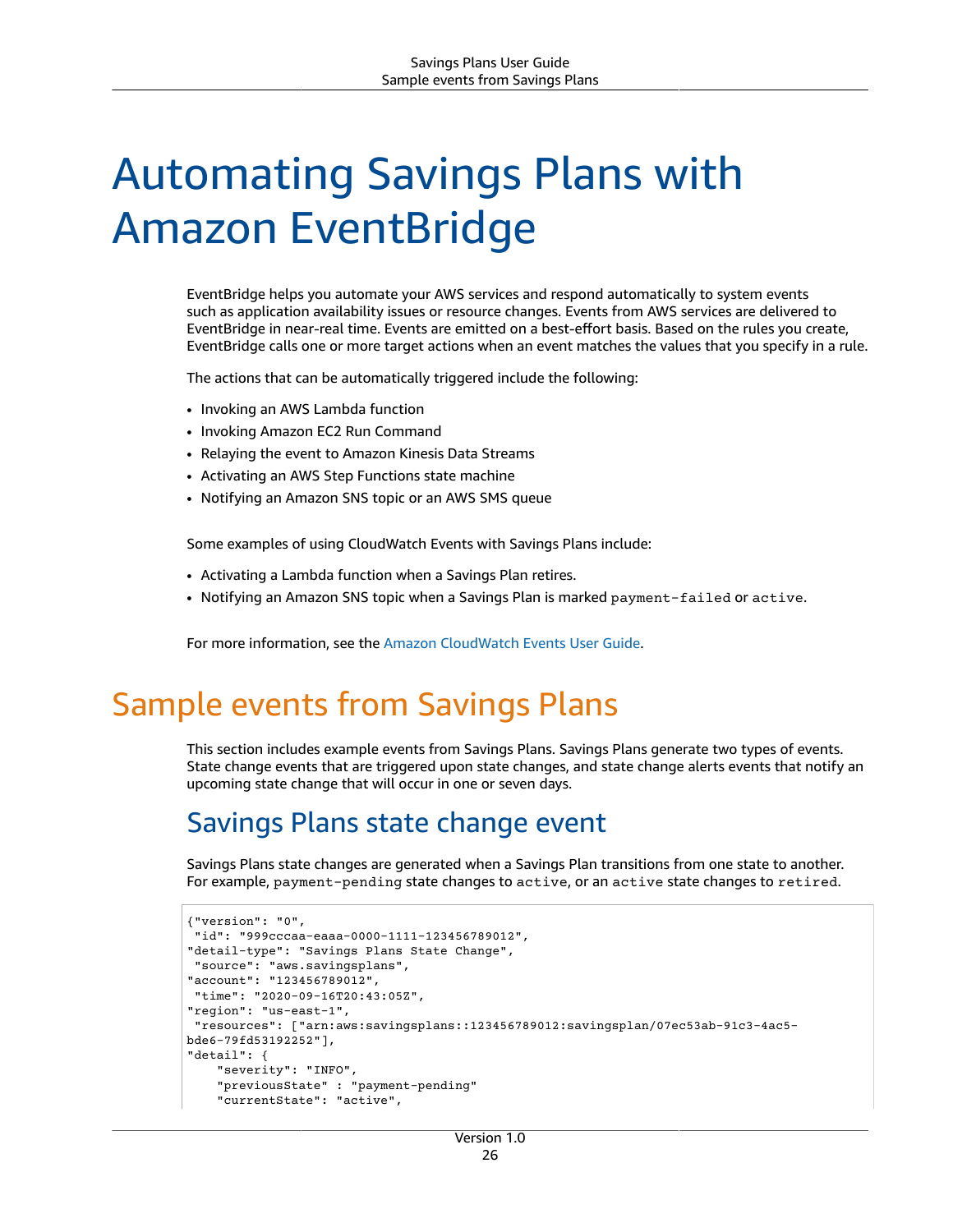# <span id="page-29-0"></span>Automating Savings Plans with Amazon EventBridge

EventBridge helps you automate your AWS services and respond automatically to system events such as application availability issues or resource changes. Events from AWS services are delivered to EventBridge in near-real time. Events are emitted on a best-effort basis. Based on the rules you create, EventBridge calls one or more target actions when an event matches the values that you specify in a rule.

The actions that can be automatically triggered include the following:

- Invoking an AWS Lambda function
- Invoking Amazon EC2 Run Command
- Relaying the event to Amazon Kinesis Data Streams
- Activating an AWS Step Functions state machine
- Notifying an Amazon SNS topic or an AWS SMS queue

Some examples of using CloudWatch Events with Savings Plans include:

- Activating a Lambda function when a Savings Plan retires.
- Notifying an Amazon SNS topic when a Savings Plan is marked payment-failed or active.

For more information, see the Amazon [CloudWatch](https://docs.aws.amazon.com/AmazonCloudWatch/latest/events/) Events User Guide.

### <span id="page-29-1"></span>Sample events from Savings Plans

This section includes example events from Savings Plans. Savings Plans generate two types of events. State change events that are triggered upon state changes, and state change alerts events that notify an upcoming state change that will occur in one or seven days.

### <span id="page-29-2"></span>Savings Plans state change event

Savings Plans state changes are generated when a Savings Plan transitions from one state to another. For example, payment-pending state changes to active, or an active state changes to retired.

```
{"version": "0",
  "id": "999cccaa-eaaa-0000-1111-123456789012",
"detail-type": "Savings Plans State Change",
  "source": "aws.savingsplans",
"account": "123456789012",
 "time": "2020-09-16T20:43:05Z",
"region": "us-east-1",
  "resources": ["arn:aws:savingsplans::123456789012:savingsplan/07ec53ab-91c3-4ac5-
bde6-79fd53192252"],
"detail": {
     "severity": "INFO",
     "previousState" : "payment-pending"
     "currentState": "active",
```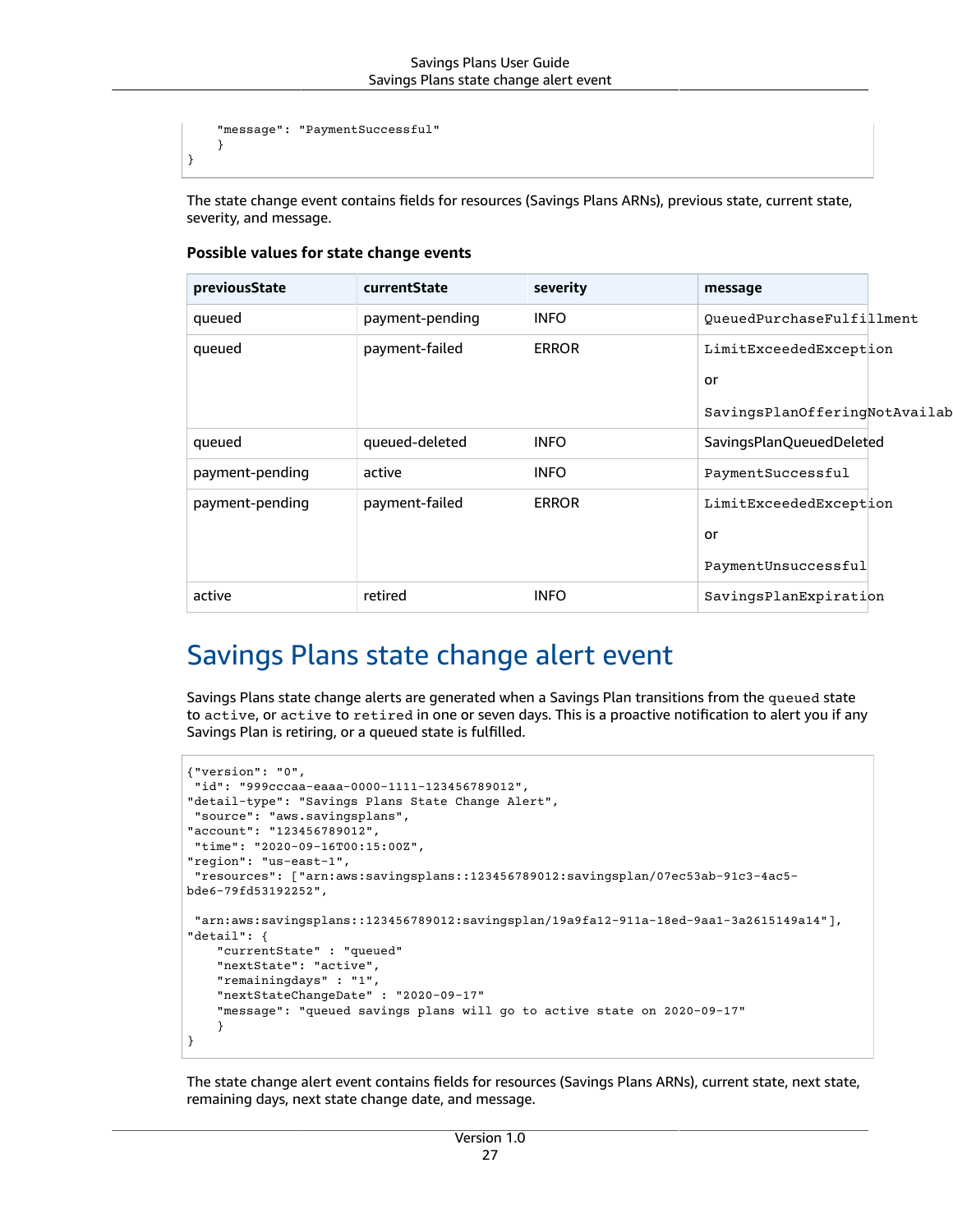```
 "message": "PaymentSuccessful" 
 }
```
}

The state change event contains fields for resources (Savings Plans ARNs), previous state, current state, severity, and message.

| previousState   | currentState    | severity     | message                       |
|-----------------|-----------------|--------------|-------------------------------|
| queued          | payment-pending | <b>INFO</b>  | QueuedPurchaseFulfillment     |
| queued          | payment-failed  | <b>ERROR</b> | LimitExceededException        |
|                 |                 |              | or                            |
|                 |                 |              | SavingsPlanOfferingNotAvailab |
| queued          | queued-deleted  | <b>INFO</b>  | SavingsPlanQueuedDeleted      |
| payment-pending | active          | <b>INFO</b>  | PaymentSuccessful             |
| payment-pending | payment-failed  | <b>ERROR</b> | LimitExceededException        |
|                 |                 |              | or                            |
|                 |                 |              | PaymentUnsuccessful           |
| active          | retired         | <b>INFO</b>  | SavingsPlanExpiration         |

#### **Possible values for state change events**

### <span id="page-30-0"></span>Savings Plans state change alert event

Savings Plans state change alerts are generated when a Savings Plan transitions from the queued state to active, or active to retired in one or seven days. This is a proactive notification to alert you if any Savings Plan is retiring, or a queued state is fulfilled.

```
{"version": "0",
  "id": "999cccaa-eaaa-0000-1111-123456789012",
"detail-type": "Savings Plans State Change Alert",
 "source": "aws.savingsplans",
"account": "123456789012",
  "time": "2020-09-16T00:15:00Z",
"region": "us-east-1",
  "resources": ["arn:aws:savingsplans::123456789012:savingsplan/07ec53ab-91c3-4ac5-
bde6-79fd53192252",
  "arn:aws:savingsplans::123456789012:savingsplan/19a9fa12-911a-18ed-9aa1-3a2615149a14"],
"detail": {
     "currentState" : "queued"
     "nextState": "active",
     "remainingdays" : "1",
     "nextStateChangeDate" : "2020-09-17"
     "message": "queued savings plans will go to active state on 2020-09-17" 
     }
}
```
The state change alert event contains fields for resources (Savings Plans ARNs), current state, next state, remaining days, next state change date, and message.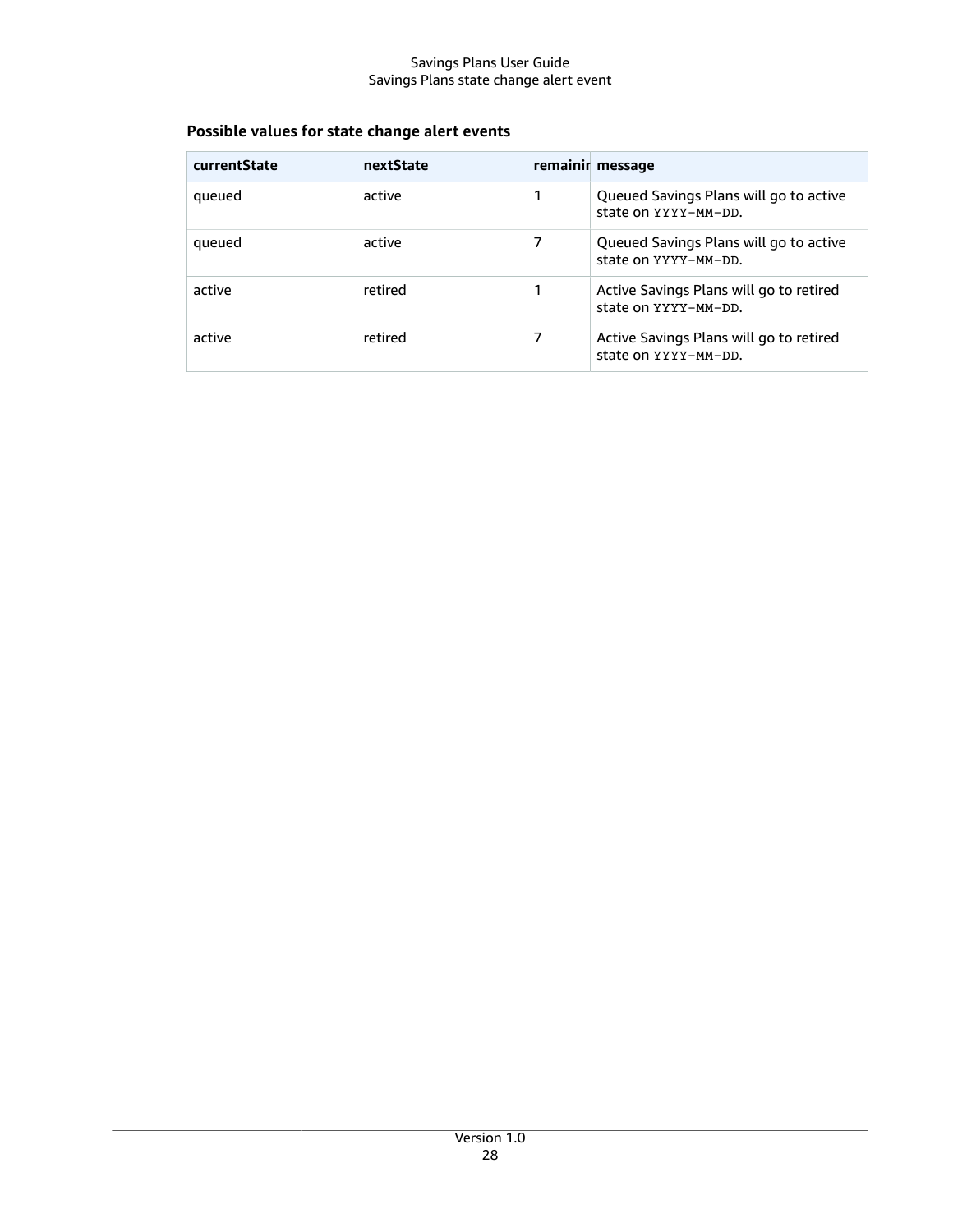#### **Possible values for state change alert events**

| currentState | nextState |   | remainir message                                                |
|--------------|-----------|---|-----------------------------------------------------------------|
| queued       | active    | 1 | Queued Savings Plans will go to active<br>state on YYYY-MM-DD.  |
| queued       | active    | 7 | Queued Savings Plans will go to active<br>state on YYYY-MM-DD.  |
| active       | retired   | 1 | Active Savings Plans will go to retired<br>state on YYYY-MM-DD. |
| active       | retired   | 7 | Active Savings Plans will go to retired<br>state on YYYY-MM-DD. |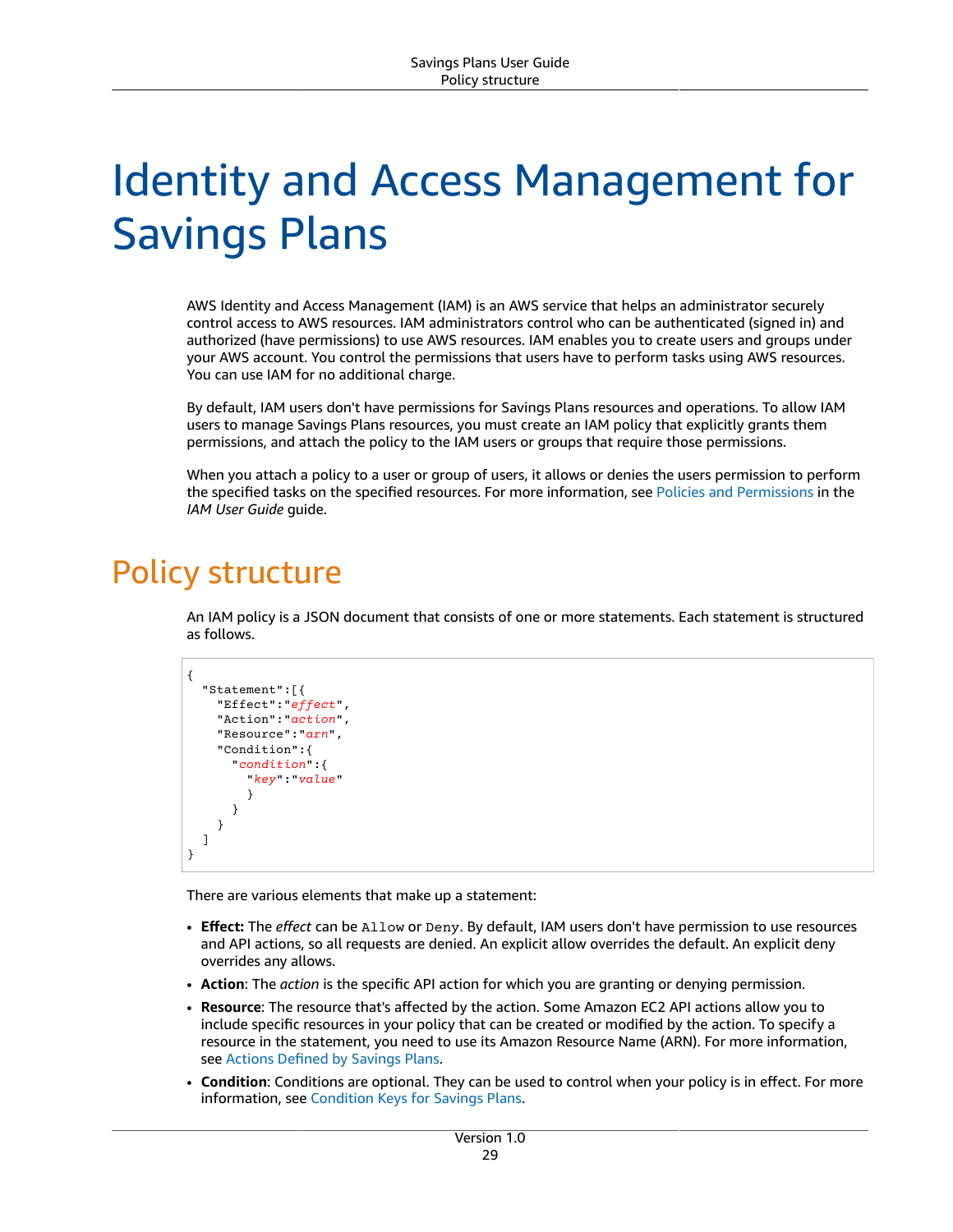# <span id="page-32-0"></span>Identity and Access Management for Savings Plans

AWS Identity and Access Management (IAM) is an AWS service that helps an administrator securely control access to AWS resources. IAM administrators control who can be authenticated (signed in) and authorized (have permissions) to use AWS resources. IAM enables you to create users and groups under your AWS account. You control the permissions that users have to perform tasks using AWS resources. You can use IAM for no additional charge.

By default, IAM users don't have permissions for Savings Plans resources and operations. To allow IAM users to manage Savings Plans resources, you must create an IAM policy that explicitly grants them permissions, and attach the policy to the IAM users or groups that require those permissions.

When you attach a policy to a user or group of users, it allows or denies the users permission to perform the specified tasks on the specified resources. For more information, see Policies and [Permissions](https://docs.aws.amazon.com/IAM/latest/UserGuide/access_policies.html) in the *IAM User Guide* guide.

## <span id="page-32-1"></span>Policy structure

An IAM policy is a JSON document that consists of one or more statements. Each statement is structured as follows.

```
{
   "Statement":[{
     "Effect":"effect",
     "Action":"action",
     "Resource":"arn",
     "Condition":{
        "condition":{
          "key":"value"
          }
        }
     }
   ]
}
```
There are various elements that make up a statement:

- **Effect:** The *effect* can be Allow or Deny. By default, IAM users don't have permission to use resources and API actions, so all requests are denied. An explicit allow overrides the default. An explicit deny overrides any allows.
- **Action**: The *action* is the specific API action for which you are granting or denying permission.
- **Resource**: The resource that's affected by the action. Some Amazon EC2 API actions allow you to include specific resources in your policy that can be created or modified by the action. To specify a resource in the statement, you need to use its Amazon Resource Name (ARN). For more information, see Actions [Defined](https://docs.aws.amazon.com/IAM/latest/UserGuide/list_awssavingsplans.html#awssavingsplans-actions-as-permissions) by Savings Plans.
- **Condition**: Conditions are optional. They can be used to control when your policy is in effect. For more information, see [Condition](https://docs.aws.amazon.com/IAM/latest/UserGuide/list_awssavingsplans.html#awssavingsplans-policy-keys) Keys for Savings Plans.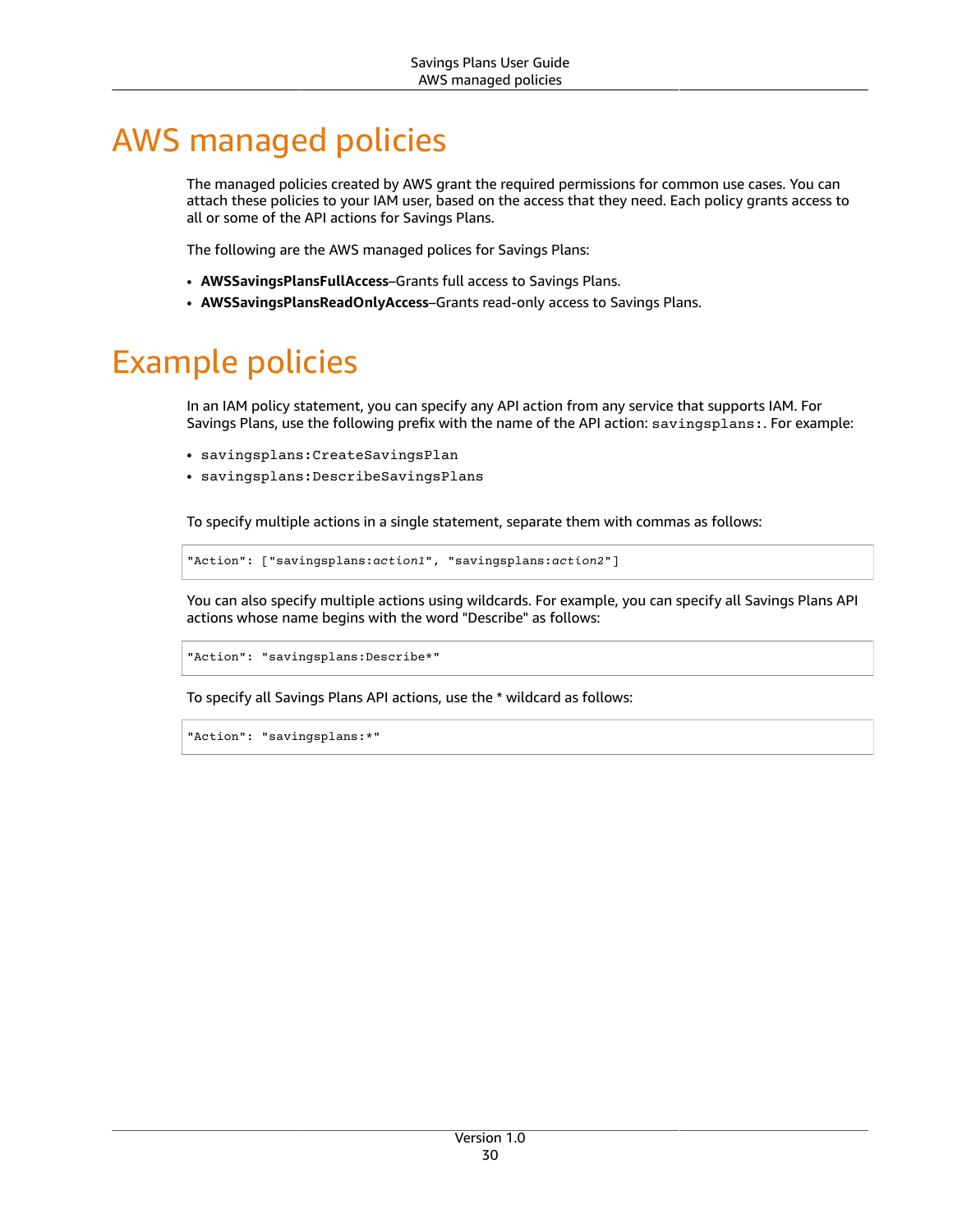# <span id="page-33-0"></span>AWS managed policies

The managed policies created by AWS grant the required permissions for common use cases. You can attach these policies to your IAM user, based on the access that they need. Each policy grants access to all or some of the API actions for Savings Plans.

The following are the AWS managed polices for Savings Plans:

- **AWSSavingsPlansFullAccess**–Grants full access to Savings Plans.
- **AWSSavingsPlansReadOnlyAccess**–Grants read-only access to Savings Plans.

## <span id="page-33-1"></span>Example policies

In an IAM policy statement, you can specify any API action from any service that supports IAM. For Savings Plans, use the following prefix with the name of the API action: savingsplans:. For example:

- savingsplans:CreateSavingsPlan
- savingsplans:DescribeSavingsPlans

To specify multiple actions in a single statement, separate them with commas as follows:

```
"Action": ["savingsplans:action1", "savingsplans:action2"]
```
You can also specify multiple actions using wildcards. For example, you can specify all Savings Plans API actions whose name begins with the word "Describe" as follows:

```
"Action": "savingsplans:Describe*"
```
To specify all Savings Plans API actions, use the \* wildcard as follows:

```
"Action": "savingsplans:*"
```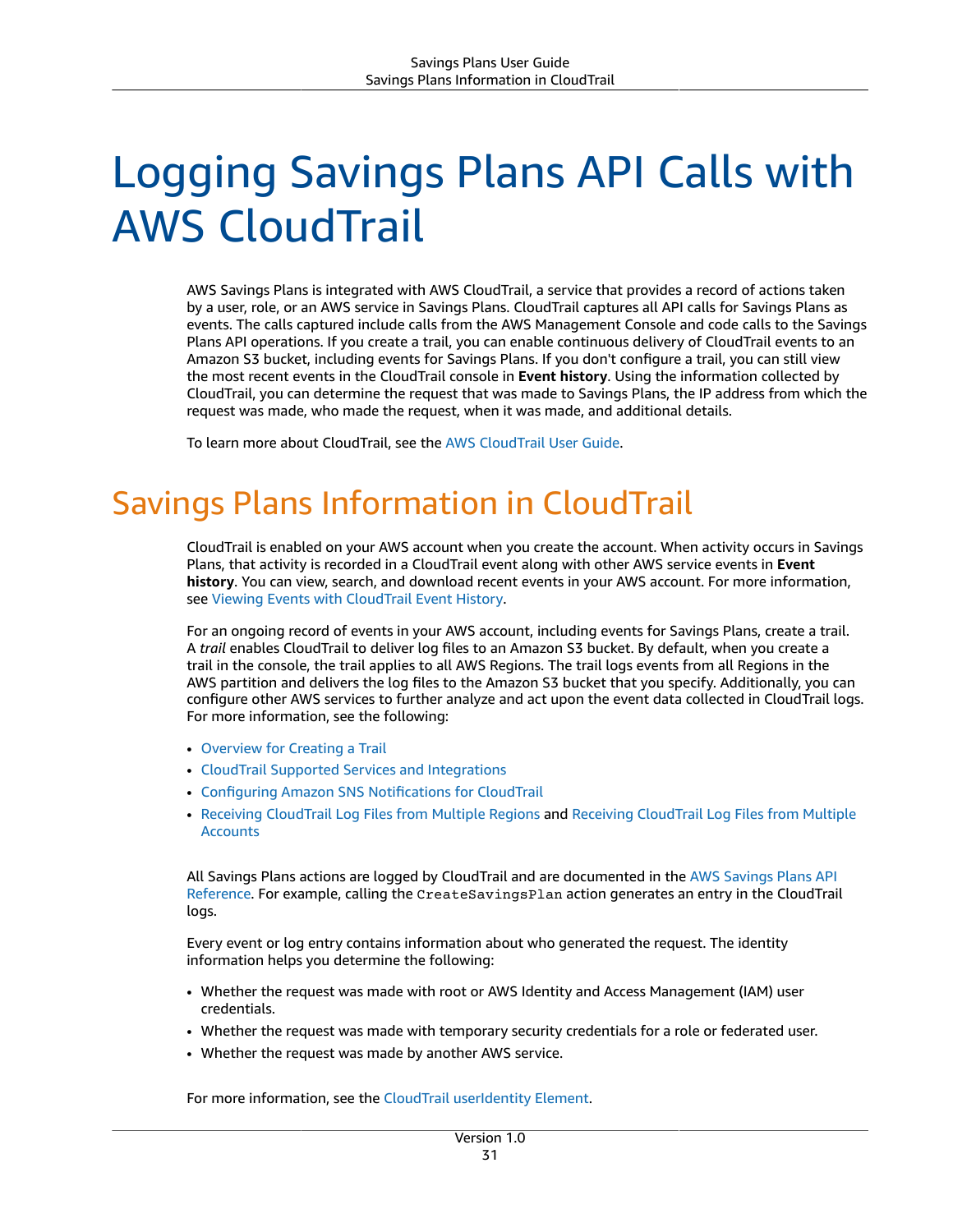# <span id="page-34-0"></span>Logging Savings Plans API Calls with AWS CloudTrail

AWS Savings Plans is integrated with AWS CloudTrail, a service that provides a record of actions taken by a user, role, or an AWS service in Savings Plans. CloudTrail captures all API calls for Savings Plans as events. The calls captured include calls from the AWS Management Console and code calls to the Savings Plans API operations. If you create a trail, you can enable continuous delivery of CloudTrail events to an Amazon S3 bucket, including events for Savings Plans. If you don't configure a trail, you can still view the most recent events in the CloudTrail console in **Event history**. Using the information collected by CloudTrail, you can determine the request that was made to Savings Plans, the IP address from which the request was made, who made the request, when it was made, and additional details.

To learn more about CloudTrail, see the AWS [CloudTrail](https://docs.aws.amazon.com/awscloudtrail/latest/userguide/) User Guide.

## <span id="page-34-1"></span>Savings Plans Information in CloudTrail

CloudTrail is enabled on your AWS account when you create the account. When activity occurs in Savings Plans, that activity is recorded in a CloudTrail event along with other AWS service events in **Event history**. You can view, search, and download recent events in your AWS account. For more information, see Viewing Events with [CloudTrail](https://docs.aws.amazon.com/awscloudtrail/latest/userguide/view-cloudtrail-events.html) Event History.

For an ongoing record of events in your AWS account, including events for Savings Plans, create a trail. A *trail* enables CloudTrail to deliver log files to an Amazon S3 bucket. By default, when you create a trail in the console, the trail applies to all AWS Regions. The trail logs events from all Regions in the AWS partition and delivers the log files to the Amazon S3 bucket that you specify. Additionally, you can configure other AWS services to further analyze and act upon the event data collected in CloudTrail logs. For more information, see the following:

- [Overview](https://docs.aws.amazon.com/awscloudtrail/latest/userguide/cloudtrail-create-and-update-a-trail.html) for Creating a Trail
- CloudTrail Supported Services and [Integrations](https://docs.aws.amazon.com/awscloudtrail/latest/userguide/cloudtrail-aws-service-specific-topics.html#cloudtrail-aws-service-specific-topics-integrations)
- Configuring Amazon SNS [Notifications](https://docs.aws.amazon.com/awscloudtrail/latest/userguide/getting_notifications_top_level.html) for CloudTrail
- Receiving [CloudTrail](https://docs.aws.amazon.com/awscloudtrail/latest/userguide/receive-cloudtrail-log-files-from-multiple-regions.html) Log Files from Multiple Regions and Receiving [CloudTrail](https://docs.aws.amazon.com/awscloudtrail/latest/userguide/cloudtrail-receive-logs-from-multiple-accounts.html) Log Files from Multiple **[Accounts](https://docs.aws.amazon.com/awscloudtrail/latest/userguide/cloudtrail-receive-logs-from-multiple-accounts.html)**

All Savings Plans actions are logged by CloudTrail and are documented in the AWS [Savings](https://docs.aws.amazon.com/savingsplans/latest/APIReference/) Plans API [Reference](https://docs.aws.amazon.com/savingsplans/latest/APIReference/). For example, calling the CreateSavingsPlan action generates an entry in the CloudTrail logs.

Every event or log entry contains information about who generated the request. The identity information helps you determine the following:

- Whether the request was made with root or AWS Identity and Access Management (IAM) user credentials.
- Whether the request was made with temporary security credentials for a role or federated user.
- Whether the request was made by another AWS service.

For more information, see the CloudTrail [userIdentity](https://docs.aws.amazon.com/awscloudtrail/latest/userguide/cloudtrail-event-reference-user-identity.html) Element.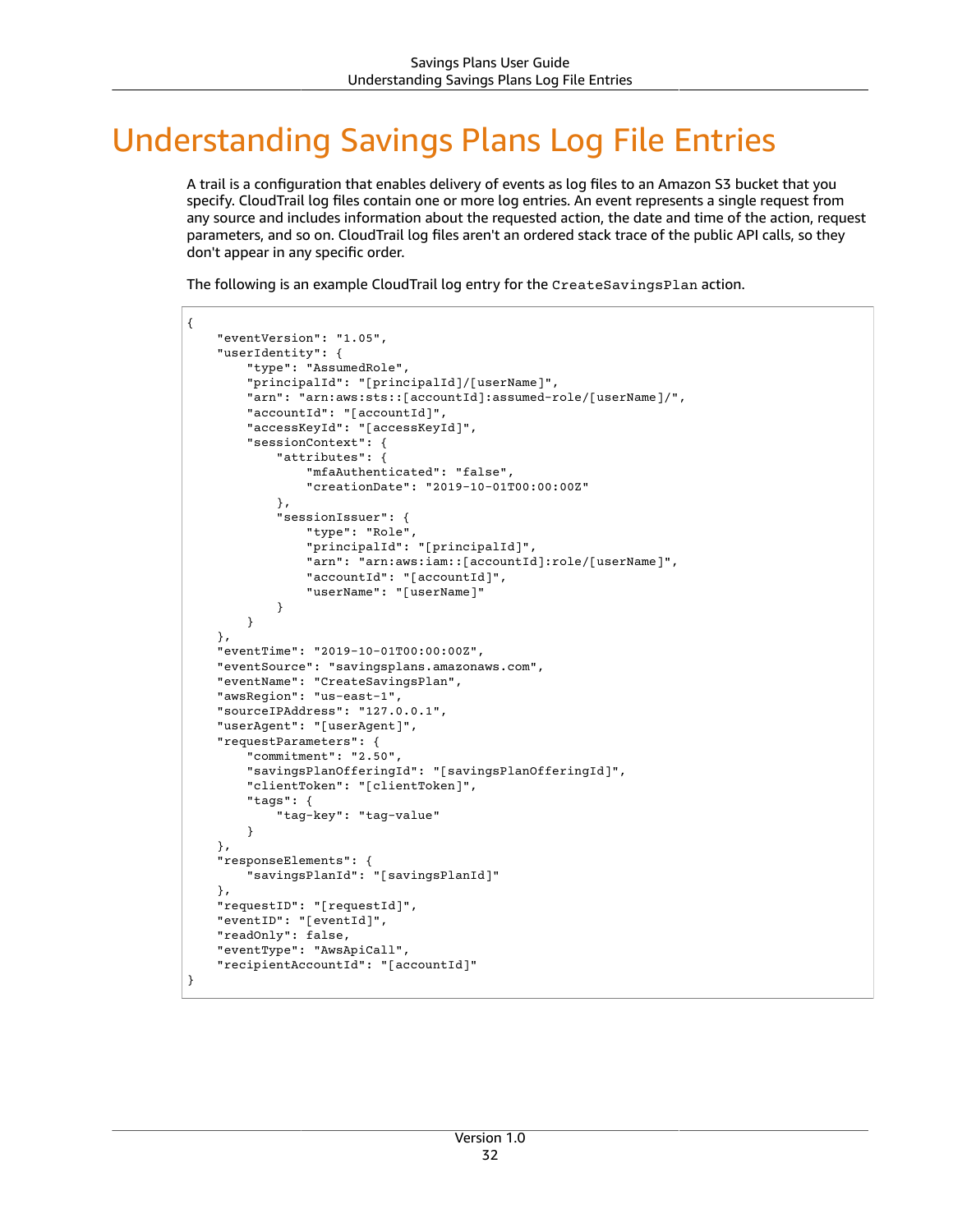# <span id="page-35-0"></span>Understanding Savings Plans Log File Entries

A trail is a configuration that enables delivery of events as log files to an Amazon S3 bucket that you specify. CloudTrail log files contain one or more log entries. An event represents a single request from any source and includes information about the requested action, the date and time of the action, request parameters, and so on. CloudTrail log files aren't an ordered stack trace of the public API calls, so they don't appear in any specific order.

The following is an example CloudTrail log entry for the CreateSavingsPlan action.

```
{
     "eventVersion": "1.05",
     "userIdentity": {
         "type": "AssumedRole",
         "principalId": "[principalId]/[userName]",
         "arn": "arn:aws:sts::[accountId]:assumed-role/[userName]/",
         "accountId": "[accountId]",
         "accessKeyId": "[accessKeyId]",
         "sessionContext": {
             "attributes": {
                 "mfaAuthenticated": "false",
                 "creationDate": "2019-10-01T00:00:00Z"
             },
             "sessionIssuer": {
                 "type": "Role",
                 "principalId": "[principalId]",
                 "arn": "arn:aws:iam::[accountId]:role/[userName]",
                 "accountId": "[accountId]",
                  "userName": "[userName]"
 }
         }
     },
     "eventTime": "2019-10-01T00:00:00Z",
     "eventSource": "savingsplans.amazonaws.com",
     "eventName": "CreateSavingsPlan",
     "awsRegion": "us-east-1",
     "sourceIPAddress": "127.0.0.1",
     "userAgent": "[userAgent]",
     "requestParameters": {
         "commitment": "2.50",
         "savingsPlanOfferingId": "[savingsPlanOfferingId]",
         "clientToken": "[clientToken]",
         "tags": {
             "tag-key": "tag-value"
         }
     },
     "responseElements": {
         "savingsPlanId": "[savingsPlanId]"
     },
     "requestID": "[requestId]",
     "eventID": "[eventId]",
     "readOnly": false,
     "eventType": "AwsApiCall",
     "recipientAccountId": "[accountId]"
}
```